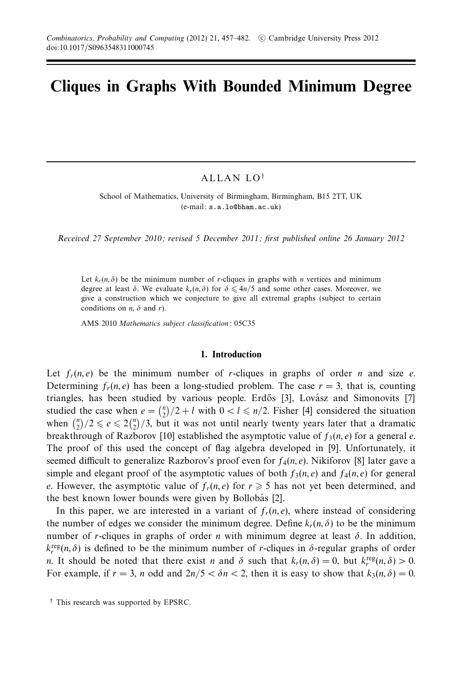# **Cliques in Graphs With Bounded Minimum Degree**

## ALLAN LO†

School of Mathematics, University of Birmingham, Birmingham, B15 2TT, UK (e-mail: s.a.lo@bham.ac.uk)

Received 27 September 2010; revised 5 December 2011; first published online 26 January 2012

Let  $k_r(n, \delta)$  be the minimum number of *r*-cliques in graphs with *n* vertices and minimum degree at least  $\delta$ . We evaluate  $k_r(n, \delta)$  for  $\delta \leq 4n/5$  and some other cases. Moreover, we give a construction which we conjecture to give all extremal graphs (subject to certain conditions on  $n$ ,  $\delta$  and  $r$ ).

AMS 2010 Mathematics subject classification: 05C35

## **1. Introduction**

Let  $f_r(n, e)$  be the minimum number of *r*-cliques in graphs of order *n* and size *e*. Determining  $f_r(n, e)$  has been a long-studied problem. The case  $r = 3$ , that is, counting triangles, has been studied by various people. Erdős [3], Lovász and Simonovits [7] studied the case when  $e = \binom{n}{2}/2 + l$  with  $0 < l \leq n/2$ . Fisher [4] considered the situation when  ${n \choose 2}/2 \le e \le 2{n \choose 2}/3$ , but it was not until nearly twenty years later that a dramatic breakthrough of Razborov [10] established the asymptotic value of  $f_3(n, e)$  for a general *e*. The proof of this used the concept of flag algebra developed in [9]. Unfortunately, it seemed difficult to generalize Razborov's proof even for *f*4(*n, e*). Nikiforov [8] later gave a simple and elegant proof of the asymptotic values of both  $f_3(n, e)$  and  $f_4(n, e)$  for general *e*. However, the asymptotic value of  $f_r(n,e)$  for  $r \geq 5$  has not yet been determined, and the best known lower bounds were given by Bollobás [2].

In this paper, we are interested in a variant of  $f_r(n, e)$ , where instead of considering the number of edges we consider the minimum degree. Define  $k_r(n, \delta)$  to be the minimum number of *r*-cliques in graphs of order *n* with minimum degree at least *δ*. In addition,  $k_r^{\text{reg}}(n, \delta)$  is defined to be the minimum number of *r*-cliques in  $\delta$ -regular graphs of order *n*. It should be noted that there exist *n* and  $\delta$  such that  $k_r(n, \delta) = 0$ , but  $k_r^{\text{reg}}(n, \delta) > 0$ . For example, if  $r = 3$ , *n* odd and  $2n/5 < \delta n < 2$ , then it is easy to show that  $k_3(n, \delta) = 0$ .

<sup>†</sup> This research was supported by EPSRC.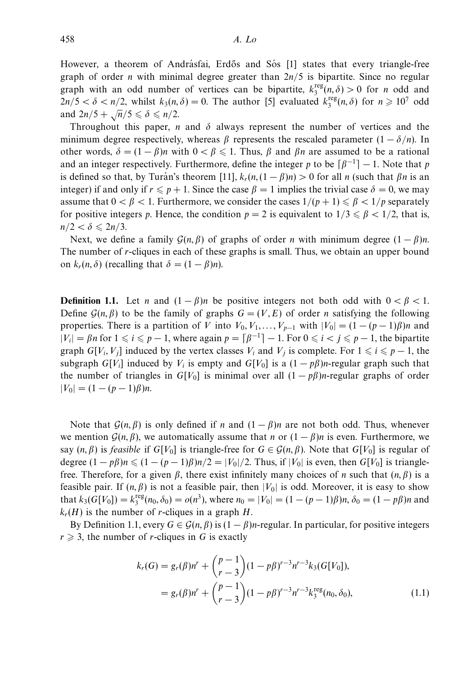However, a theorem of Andrásfai, Erdős and Sós [1] states that every triangle-free graph of order *n* with minimal degree greater than 2*n/*5 is bipartite. Since no regular graph with an odd number of vertices can be bipartite,  $k_3^{\text{reg}}(n, \delta) > 0$  for *n* odd and  $2n/5 < \delta < n/2$ , whilst  $k_3(n, \delta) = 0$ . The author [5] evaluated  $k_3^{\text{reg}}(n, \delta)$  for  $n \geq 10^7$  odd and  $2n/5 + \sqrt{n}/5 \le \delta \le n/2$ .

Throughout this paper, *n* and  $\delta$  always represent the number of vertices and the minimum degree respectively, whereas  $\beta$  represents the rescaled parameter  $(1 - \delta/n)$ . In other words,  $\delta = (1 - \beta)n$  with  $0 < \beta \le 1$ . Thus,  $\beta$  and  $\beta n$  are assumed to be a rational and an integer respectively. Furthermore, define the integer *p* to be  $\lceil \beta^{-1} \rceil - 1$ . Note that *p* is defined so that, by Turán's theorem [11],  $k_r(n,(1 - \beta)n) > 0$  for all *n* (such that  $\beta n$  is an integer) if and only if  $r \leq p + 1$ . Since the case  $\beta = 1$  implies the trivial case  $\delta = 0$ , we may assume that  $0 < \beta < 1$ . Furthermore, we consider the cases  $1/(p+1) \le \beta < 1/p$  separately for positive integers *p*. Hence, the condition  $p = 2$  is equivalent to  $1/3 \leq \beta < 1/2$ , that is,  $n/2 < \delta \leqslant 2n/3$ .

Next, we define a family  $\mathcal{G}(n, \beta)$  of graphs of order *n* with minimum degree  $(1 - \beta)n$ . The number of *r*-cliques in each of these graphs is small. Thus, we obtain an upper bound on  $k_r(n, \delta)$  (recalling that  $\delta = (1 - \beta)n$ ).

**Definition 1.1.** Let *n* and  $(1 - \beta)n$  be positive integers not both odd with  $0 < \beta < 1$ . Define  $\mathcal{G}(n, \beta)$  to be the family of graphs  $G = (V, E)$  of order *n* satisfying the following properties. There is a partition of *V* into  $V_0, V_1, \ldots, V_{p-1}$  with  $|V_0| = (1 - (p-1)\beta)n$  and  $|V_i| = \beta n$  for  $1 \le i \le p - 1$ , where again  $p = \lceil \beta^{-1} \rceil - 1$ . For  $0 \le i \le j \le p - 1$ , the bipartite graph  $G[V_i, V_j]$  induced by the vertex classes  $V_i$  and  $V_j$  is complete. For  $1 \leq i \leq p - 1$ , the subgraph *G*[*V<sub>i</sub>*] induced by *V<sub>i</sub>* is empty and *G*[*V*<sub>0</sub>] is a  $(1 - p\beta)n$ -regular graph such that the number of triangles in  $G[V_0]$  is minimal over all  $(1 - p\beta)n$ -regular graphs of order  $|V_0| = (1 - (p-1)\beta)n$ .

Note that  $G(n, \beta)$  is only defined if *n* and  $(1 - \beta)n$  are not both odd. Thus, whenever we mention  $\mathcal{G}(n, \beta)$ , we automatically assume that *n* or  $(1 - \beta)n$  is even. Furthermore, we say  $(n, \beta)$  is *feasible* if  $G[V_0]$  is triangle-free for  $G \in \mathcal{G}(n, \beta)$ . Note that  $G[V_0]$  is regular of degree  $(1 - p\beta)n \leq (1 - (p - 1)\beta)n/2 = |V_0|/2$ . Thus, if  $|V_0|$  is even, then  $G[V_0]$  is trianglefree. Therefore, for a given *β*, there exist infinitely many choices of *n* such that (*n, β*) is a feasible pair. If  $(n, \beta)$  is not a feasible pair, then  $|V_0|$  is odd. Moreover, it is easy to show that  $k_3(G[V_0]) = k_3^{\text{reg}}(n_0, \delta_0) = o(n^3)$ , where  $n_0 = |V_0| = (1 - (p-1)\beta)n$ ,  $\delta_0 = (1 - p\beta)n$  and  $k_r(H)$  is the number of *r*-cliques in a graph *H*.

By Definition 1.1, every  $G \in \mathcal{G}(n, \beta)$  is  $(1 - \beta)n$ -regular. In particular, for positive integers  $r \geqslant 3$ , the number of *r*-cliques in *G* is exactly

$$
k_r(G) = g_r(\beta)n^r + {p-1 \choose r-3} (1-p\beta)^{r-3} n^{r-3} k_3(G[V_0]),
$$
  
=  $g_r(\beta)n^r + {p-1 \choose r-3} (1-p\beta)^{r-3} n^{r-3} k_3^{\text{reg}}(n_0, \delta_0),$  (1.1)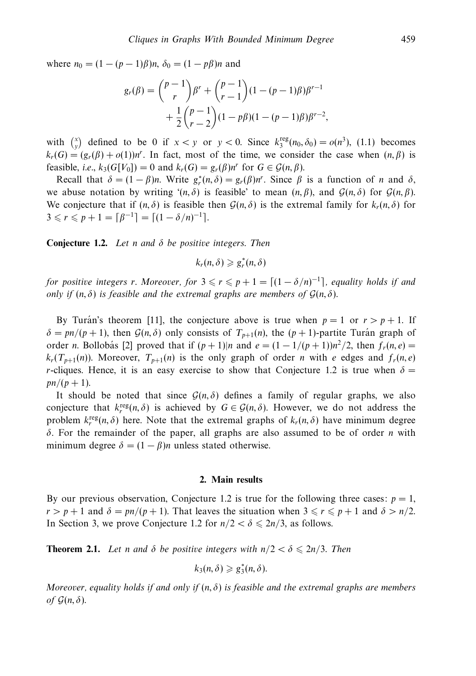where  $n_0 = (1 - (p - 1)\beta)n$ ,  $\delta_0 = (1 - p\beta)n$  and

$$
g_r(\beta) = {p-1 \choose r} \beta^r + {p-1 \choose r-1} (1 - (p-1)\beta) \beta^{r-1} + \frac{1}{2} {p-1 \choose r-2} (1 - p\beta)(1 - (p-1)\beta) \beta^{r-2},
$$

with  $\binom{x}{y}$  defined to be 0 if  $x < y$  or  $y < 0$ . Since  $k_3^{\text{reg}}(n_0, \delta_0) = o(n^3)$ , (1.1) becomes  $k_r(G) = (g_r(\beta) + o(1))n^r$ . In fact, most of the time, we consider the case when  $(n, \beta)$  is feasible, *i.e.*,  $k_3(G[V_0]) = 0$  and  $k_r(G) = g_r(\beta)n^r$  for  $G \in \mathcal{G}(n, \beta)$ .

Recall that  $\delta = (1 - \beta)n$ . Write  $g_r^*(n, \delta) = g_r(\beta)n^r$ . Since  $\beta$  is a function of *n* and  $\delta$ , we abuse notation by writing ' $(n, \delta)$  is feasible' to mean  $(n, \beta)$ , and  $\mathcal{G}(n, \delta)$  for  $\mathcal{G}(n, \beta)$ . We conjecture that if  $(n, \delta)$  is feasible then  $\mathcal{G}(n, \delta)$  is the extremal family for  $k_r(n, \delta)$  for  $3 \leq r \leq p + 1 = \lceil \beta^{-1} \rceil = \lceil (1 - \delta/n)^{-1} \rceil.$ 

**Conjecture 1.2.** Let *n* and *δ* be positive integers. Then

 $k_r(n, \delta) \geqslant g_r^*(n, \delta)$ 

for positive integers *r*. Moreover, for  $3 \leqslant r \leqslant p + 1 = \lceil (1 - \delta/n)^{-1} \rceil$ , equality holds if and only if  $(n, \delta)$  is feasible and the extremal graphs are members of  $\mathcal{G}(n, \delta)$ .

By Turan's theorem [11], the conjecture above is true when  $p = 1$  or  $r > p + 1$ . If  $\delta = pn/(p+1)$ , then  $\mathcal{G}(n, \delta)$  only consists of  $T_{p+1}(n)$ , the  $(p+1)$ -partite Turán graph of order *n*. Bollobás [2] proved that if  $(p + 1)/n$  and  $e = (1 - 1/(p + 1))n^2/2$ , then  $f_r(n, e) =$  $k_r(T_{p+1}(n))$ . Moreover,  $T_{p+1}(n)$  is the only graph of order *n* with *e* edges and  $f_r(n,e)$ *r*-cliques. Hence, it is an easy exercise to show that Conjecture 1.2 is true when  $\delta =$  $pn/(p+1)$ .

It should be noted that since  $\mathcal{G}(n, \delta)$  defines a family of regular graphs, we also conjecture that  $k_r^{\text{reg}}(n, \delta)$  is achieved by  $G \in \mathcal{G}(n, \delta)$ . However, we do not address the problem  $k_r^{\text{reg}}(n, \delta)$  here. Note that the extremal graphs of  $k_r(n, \delta)$  have minimum degree *δ*. For the remainder of the paper, all graphs are also assumed to be of order *n* with minimum degree  $\delta = (1 - \beta)n$  unless stated otherwise.

## **2. Main results**

By our previous observation, Conjecture 1.2 is true for the following three cases:  $p = 1$ ,  $r > p + 1$  and  $\delta = pn/(p + 1)$ . That leaves the situation when  $3 \le r \le p + 1$  and  $\delta > n/2$ . In Section 3, we prove Conjecture 1.2 for  $n/2 < \delta \leq 2n/3$ , as follows.

**Theorem 2.1.** Let *n* and *δ* be positive integers with  $n/2 < \delta \le 2n/3$ . Then

$$
k_3(n,\delta) \geq g_3^*(n,\delta).
$$

Moreover, equality holds if and only if  $(n, \delta)$  is feasible and the extremal graphs are members of  $\mathcal{G}(n,\delta)$ .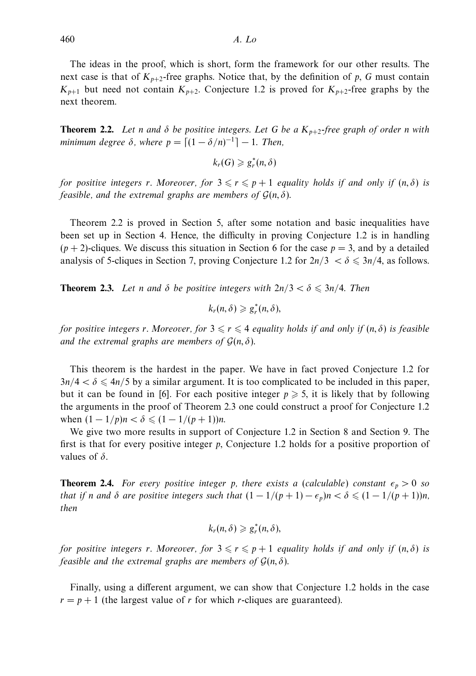The ideas in the proof, which is short, form the framework for our other results. The next case is that of  $K_{p+2}$ -free graphs. Notice that, by the definition of p, G must contain  $K_{p+1}$  but need not contain  $K_{p+2}$ . Conjecture 1.2 is proved for  $K_{p+2}$ -free graphs by the next theorem.

**Theorem 2.2.** Let *n* and  $\delta$  be positive integers. Let G be a  $K_{p+2}$ -free graph of order *n* with minimum degree  $\delta$ , where  $p = \lceil (1 - \delta/n)^{-1} \rceil - 1$ . Then,

$$
k_r(G)\geqslant g_r^*(n,\delta)
$$

for positive integers r. Moreover, for  $3 \leqslant r \leqslant p+1$  equality holds if and only if  $(n,\delta)$  is *feasible, and the extremal graphs are members of*  $G(n, \delta)$ *.* 

Theorem 2.2 is proved in Section 5, after some notation and basic inequalities have been set up in Section 4. Hence, the difficulty in proving Conjecture 1.2 is in handling  $(p+2)$ -cliques. We discuss this situation in Section 6 for the case  $p = 3$ , and by a detailed analysis of 5-cliques in Section 7, proving Conjecture 1.2 for  $2n/3 < \delta \leq 3n/4$ , as follows.

**Theorem 2.3.** Let *n* and  $\delta$  be positive integers with  $2n/3 < \delta \leq 3n/4$ . Then

$$
k_r(n,\delta) \geqslant g_r^*(n,\delta),
$$

for positive integers r. Moreover, for  $3 \leqslant r \leqslant 4$  equality holds if and only if  $(n,\delta)$  is feasible and the extremal graphs are members of  $G(n, \delta)$ .

This theorem is the hardest in the paper. We have in fact proved Conjecture 1.2 for  $3n/4 < \delta \leq 4n/5$  by a similar argument. It is too complicated to be included in this paper, but it can be found in [6]. For each positive integer  $p \geq 5$ , it is likely that by following the arguments in the proof of Theorem 2.3 one could construct a proof for Conjecture 1.2 when  $(1 - 1/p)n < \delta \leq (1 - 1/(p + 1))n$ .

We give two more results in support of Conjecture 1.2 in Section 8 and Section 9. The first is that for every positive integer *p*, Conjecture 1.2 holds for a positive proportion of values of *δ*.

**Theorem 2.4.** For every positive integer *p*, there exists a (calculable) constant  $\epsilon_p > 0$  so that if *n* and  $\delta$  are positive integers such that  $(1 - 1/(p + 1) - \epsilon_p)n < \delta \leqslant (1 - 1/(p + 1))n$ , then

$$
k_r(n,\delta) \geqslant g_r^*(n,\delta),
$$

for positive integers *r*. Moreover, for  $3 \leqslant r \leqslant p+1$  equality holds if and only if  $(n, \delta)$  is *feasible and the extremal graphs are members of*  $\mathcal{G}(n, \delta)$ *.* 

Finally, using a different argument, we can show that Conjecture 1.2 holds in the case  $r = p + 1$  (the largest value of *r* for which *r*-cliques are guaranteed).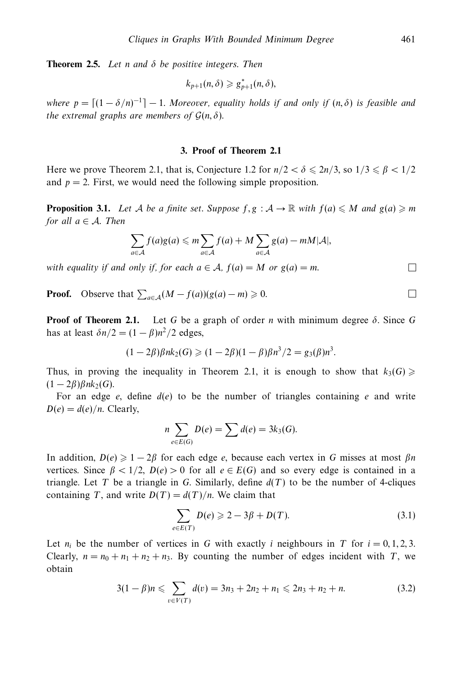**Theorem 2.5.** Let *n* and *δ* be positive integers. Then

$$
k_{p+1}(n,\delta) \geqslant g_{p+1}^*(n,\delta),
$$

where  $p = \lfloor (1 - \delta/n)^{-1} \rfloor - 1$ . Moreover, equality holds if and only if  $(n, \delta)$  is feasible and the extremal graphs are members of  $\mathcal{G}(n, \delta)$ .

## **3. Proof of Theorem 2.1**

Here we prove Theorem 2.1, that is, Conjecture 1.2 for  $n/2 < \delta \le 2n/3$ , so  $1/3 \le \beta < 1/2$ and  $p = 2$ . First, we would need the following simple proposition.

**Proposition 3.1.** Let A be a finite set. Suppose  $f, g : A \rightarrow \mathbb{R}$  with  $f(a) \leq M$  and  $g(a) \geq m$ *for all*  $a \in \mathcal{A}$ . *Then* 

$$
\sum_{a \in \mathcal{A}} f(a)g(a) \leqslant m \sum_{a \in \mathcal{A}} f(a) + M \sum_{a \in \mathcal{A}} g(a) - mM|\mathcal{A}|,
$$

with equality if and only if, for each  $a \in A$ ,  $f(a) = M$  or  $g(a) = m$ .

**Proof.** Observe that  $\sum_{a \in A} (M - f(a))(g(a) - m) \ge 0$ .

**Proof of Theorem 2.1.** Let G be a graph of order *n* with minimum degree  $\delta$ . Since G has at least  $\delta n/2 = (1 - \beta)n^2/2$  edges,

$$
(1-2\beta)\beta nk_2(G) \geq (1-2\beta)(1-\beta)\beta n^3/2 = g_3(\beta)n^3.
$$

Thus, in proving the inequality in Theorem 2.1, it is enough to show that  $k_3(G) \geq$  $(1-2\beta)\beta$ *nk*<sub>2</sub> $(G)$ .

For an edge  $e$ , define  $d(e)$  to be the number of triangles containing  $e$  and write  $D(e) = d(e)/n$ . Clearly,

$$
n \sum_{e \in E(G)} D(e) = \sum d(e) = 3k_3(G).
$$

In addition,  $D(e) \geq 1 - 2\beta$  for each edge *e*, because each vertex in *G* misses at most  $\beta n$ vertices. Since  $\beta < 1/2$ ,  $D(e) > 0$  for all  $e \in E(G)$  and so every edge is contained in a triangle. Let *T* be a triangle in *G*. Similarly, define  $d(T)$  to be the number of 4-cliques containing *T*, and write  $D(T) = d(T)/n$ . We claim that

$$
\sum_{e \in E(T)} D(e) \geqslant 2 - 3\beta + D(T). \tag{3.1}
$$

Let  $n_i$  be the number of vertices in *G* with exactly *i* neighbours in *T* for  $i = 0, 1, 2, 3$ . Clearly,  $n = n_0 + n_1 + n_2 + n_3$ . By counting the number of edges incident with *T*, we obtain

$$
3(1 - \beta)n \leqslant \sum_{v \in V(T)} d(v) = 3n_3 + 2n_2 + n_1 \leqslant 2n_3 + n_2 + n. \tag{3.2}
$$

 $\Box$ 

 $\Box$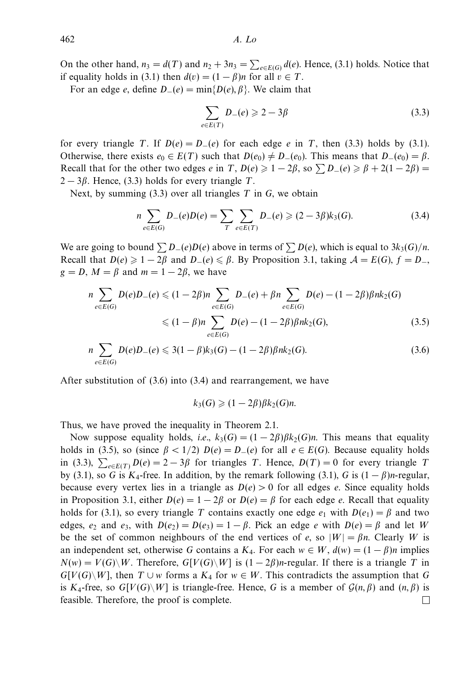On the other hand,  $n_3 = d(T)$  and  $n_2 + 3n_3 = \sum_{e \in E(G)} d(e)$ . Hence, (3.1) holds. Notice that if equality holds in (3.1) then  $d(v) = (1 - \beta)n$  for all  $v \in T$ .

For an edge *e*, define  $D_{-}(e) = \min\{D(e), \beta\}$ . We claim that

$$
\sum_{e \in E(T)} D_{-}(e) \geqslant 2 - 3\beta \tag{3.3}
$$

for every triangle *T*. If  $D(e) = D-(e)$  for each edge *e* in *T*, then (3.3) holds by (3.1). Otherwise, there exists  $e_0 \in E(T)$  such that  $D(e_0) \neq D_-(e_0)$ . This means that  $D_-(e_0) = \beta$ . Recall that for the other two edges *e* in *T*,  $D(e) \ge 1 - 2\beta$ , so  $\sum D-(e) \ge \beta + 2(1 - 2\beta)$  = 2 − 3*β*. Hence, (3.3) holds for every triangle *T*.

Next, by summing (3.3) over all triangles *T* in *G*, we obtain

$$
n \sum_{e \in E(G)} D_{-}(e)D(e) = \sum_{T} \sum_{e \in E(T)} D_{-}(e) \geq (2 - 3\beta)k_3(G). \tag{3.4}
$$

We are going to bound  $\sum D_{-}(e)D(e)$  above in terms of  $\sum D(e)$ , which is equal to  $3k_3(G)/n$ . Recall that  $D(e) \ge 1 - 2\beta$  and  $D-(e) \le \beta$ . By Proposition 3.1, taking  $A = E(G)$ ,  $f = D_{-},$  $g = D$ ,  $M = \beta$  and  $m = 1 - 2\beta$ , we have

$$
n \sum_{e \in E(G)} D(e)D_{-}(e) \le (1 - 2\beta)n \sum_{e \in E(G)} D_{-}(e) + \beta n \sum_{e \in E(G)} D(e) - (1 - 2\beta)\beta nk_2(G)
$$
  

$$
\le (1 - \beta)n \sum_{e \in E(G)} D(e) - (1 - 2\beta)\beta nk_2(G),
$$
 (3.5)

$$
n\sum_{e \in E(G)} D(e)D_{-}(e) \leqslant 3(1 - \beta)k_3(G) - (1 - 2\beta)\beta nk_2(G). \tag{3.6}
$$

After substitution of (3.6) into (3.4) and rearrangement, we have

$$
k_3(G) \geqslant (1-2\beta)\beta k_2(G)n.
$$

Thus, we have proved the inequality in Theorem 2.1.

Now suppose equality holds, i.e.,  $k_3(G) = (1 - 2\beta)\beta k_2(G)n$ . This means that equality holds in (3.5), so (since  $\beta < 1/2$ )  $D(e) = D_-(e)$  for all  $e \in E(G)$ . Because equality holds in (3.3),  $\sum_{e \in E(T)} D(e) = 2 - 3\beta$  for triangles *T*. Hence,  $D(T) = 0$  for every triangle *T* by (3.1), so *G* is  $K_4$ -free. In addition, by the remark following (3.1), *G* is  $(1 - \beta)n$ -regular, because every vertex lies in a triangle as  $D(e) > 0$  for all edges *e*. Since equality holds in Proposition 3.1, either  $D(e) = 1 - 2\beta$  or  $D(e) = \beta$  for each edge *e*. Recall that equality holds for (3.1), so every triangle *T* contains exactly one edge  $e_1$  with  $D(e_1) = \beta$  and two edges,  $e_2$  and  $e_3$ , with  $D(e_2) = D(e_3) = 1 - \beta$ . Pick an edge *e* with  $D(e) = \beta$  and let *W* be the set of common neighbours of the end vertices of *e*, so  $|W| = \beta n$ . Clearly *W* is an independent set, otherwise *G* contains a  $K_4$ . For each  $w \in W$ ,  $d(w) = (1 - \beta)n$  implies  $N(w) = V(G) \backslash W$ . Therefore,  $G[V(G) \backslash W]$  is  $(1 - 2\beta)n$ -regular. If there is a triangle *T* in  $G[V(G)\backslash W]$ , then *T* ∪ *w* forms a *K*<sub>4</sub> for *w* ∈ *W*. This contradicts the assumption that *G* is *K*<sub>4</sub>-free, so *G*[*V*(*G*)\*W*] is triangle-free. Hence, *G* is a member of  $G(n, \beta)$  and  $(n, \beta)$  is feasible. Therefore, the proof is complete. feasible. Therefore, the proof is complete.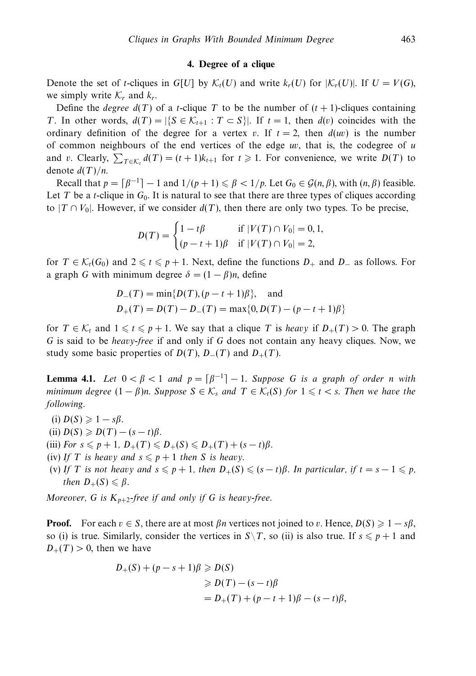## **4. Degree of a clique**

Denote the set of *t*-cliques in *G*[*U*] by  $\mathcal{K}_t(U)$  and write  $k_t(U)$  for  $|\mathcal{K}_r(U)|$ . If  $U = V(G)$ , we simply write  $K_r$  and  $k_r$ .

Define the *degree*  $d(T)$  of a *t*-clique *T* to be the number of  $(t + 1)$ -cliques containing *T*. In other words,  $d(T) = |\{S \in \mathcal{K}_{t+1} : T \subset S\}|$ . If  $t = 1$ , then  $d(v)$  coincides with the ordinary definition of the degree for a vertex *v*. If  $t = 2$ , then  $d(w)$  is the number of common neighbours of the end vertices of the edge *uv*, that is, the codegree of *u* and *v*. Clearly,  $\sum_{T \in \mathcal{K}_t} d(T) = (t+1)k_{t+1}$  for  $t \ge 1$ . For convenience, we write  $D(T)$  to denote *d*(*T*)*/n*.

Recall that  $p = \lceil \beta^{-1} \rceil - 1$  and  $1/(p + 1) \le \beta < 1/p$ . Let  $G_0 \in \mathcal{G}(n, \beta)$ , with  $(n, \beta)$  feasible. Let *T* be a *t*-clique in  $G_0$ . It is natural to see that there are three types of cliques according to  $|T \cap V_0|$ . However, if we consider  $d(T)$ , then there are only two types. To be precise,

$$
D(T) = \begin{cases} 1 - t\beta & \text{if } |V(T) \cap V_0| = 0, 1, \\ (p - t + 1)\beta & \text{if } |V(T) \cap V_0| = 2, \end{cases}
$$

for  $T \in \mathcal{K}_t(G_0)$  and  $2 \leq t \leq p+1$ . Next, define the functions  $D_+$  and  $D_-$  as follows. For a graph *G* with minimum degree  $\delta = (1 - \beta)n$ , define

$$
D_{-}(T) = \min\{D(T), (p - t + 1)\beta\}, \text{ and}
$$
  
 
$$
D_{+}(T) = D(T) - D_{-}(T) = \max\{0, D(T) - (p - t + 1)\beta\}
$$

for  $T \in \mathcal{K}_t$  and  $1 \leq t \leq p+1$ . We say that a clique *T* is heavy if  $D_+(T) > 0$ . The graph *G* is said to be heavy-free if and only if *G* does not contain any heavy cliques. Now, we study some basic properties of  $D(T)$ ,  $D_-(T)$  and  $D_+(T)$ .

**Lemma 4.1.** Let  $0 < \beta < 1$  and  $p = \lceil \beta^{-1} \rceil - 1$ . Suppose G is a graph of order *n* with minimum degree  $(1 - \beta)n$ . Suppose  $S \in \mathcal{K}_s$  and  $T \in \mathcal{K}_t(S)$  for  $1 \leq t < s$ . Then we have the following.

- $(i) D(S) \geq 1 s\beta$ .
- $(iii) D(S) \ge D(T) (s t)\beta.$
- $(iii)$  For  $s \leq p+1$ ,  $D_+(T) \leq D_+(S) \leq D_+(T) + (s-t)\beta$ .
- $(iv)$  If T is heavy and  $s \leqslant p+1$  then *S* is heavy.
- $p(n)$  *If T* is not heavy and  $s \leqslant p+1$ , then  $D_+(S) \leqslant (s-t)\beta$ . In particular, if  $t=s-1 \leqslant p$ , then  $D_+(S) \leqslant \beta$ .

Moreover, G is  $K_{p+2}$ -free if and only if G is heavy-free.

**Proof.** For each  $v \in S$ , there are at most  $\beta n$  vertices not joined to *v*. Hence,  $D(S) \geq 1 - s\beta$ , so (i) is true. Similarly, consider the vertices in  $S \setminus T$ , so (ii) is also true. If  $s \leq p + 1$  and  $D_{+}(T) > 0$ , then we have

$$
D_{+}(S) + (p - s + 1)\beta \ge D(S)
$$
  
\n
$$
\ge D(T) - (s - t)\beta
$$
  
\n
$$
= D_{+}(T) + (p - t + 1)\beta - (s - t)\beta,
$$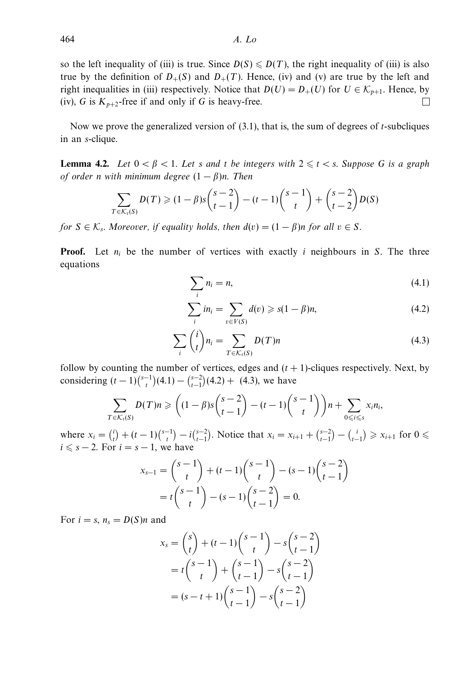so the left inequality of (iii) is true. Since  $D(S) \le D(T)$ , the right inequality of (iii) is also true by the definition of  $D_{+}(S)$  and  $D_{+}(T)$ . Hence, (iv) and (v) are true by the left and right inequalities in (iii) respectively. Notice that  $D(U) = D_+(U)$  for  $U \in \mathcal{K}_{p+1}$ . Hence, by (iv) G is  $K_{p+2}$ -free if and only if G is heavy-free (iv), *G* is  $K_{p+2}$ -free if and only if *G* is heavy-free.

Now we prove the generalized version of (3.1), that is, the sum of degrees of *t*-subcliques in an *s*-clique.

**Lemma 4.2.** Let  $0 < \beta < 1$ . Let *s* and *t* be integers with  $2 \leq t < s$ . Suppose G is a graph of order *n* with minimum degree  $(1 - \beta)n$ . Then

$$
\sum_{T \in \mathcal{K}_t(S)} D(T) \geq (1 - \beta)s \binom{s - 2}{t - 1} - (t - 1)\binom{s - 1}{t} + \binom{s - 2}{t - 2}D(S)
$$

for  $S \in \mathcal{K}_s$ . Moreover, if equality holds, then  $d(v) = (1 - \beta)n$  for all  $v \in S$ .

**Proof.** Let  $n_i$  be the number of vertices with exactly *i* neighbours in *S*. The three equations

$$
\sum_{i} n_i = n,\tag{4.1}
$$

$$
\sum_{i} in_{i} = \sum_{v \in V(S)} d(v) \geqslant s(1 - \beta)n,
$$
\n(4.2)

$$
\sum_{i} {i \choose t} n_i = \sum_{T \in \mathcal{K}_t(S)} D(T) n \tag{4.3}
$$

follow by counting the number of vertices, edges and  $(t + 1)$ -cliques respectively. Next, by considering  $(t-1)\binom{s-1}{t}(4.1) - \binom{s-2}{t-1}(4.2) + (4.3)$ , we have

$$
\sum_{T \in \mathcal{K}_t(S)} D(T)n \geqslant \left( (1-\beta)s \binom{s-2}{t-1} - (t-1) \binom{s-1}{t} \right) n + \sum_{0 \leqslant i \leqslant s} x_i n_i,
$$

where  $x_i = \binom{i}{t} + (t-1)\binom{s-1}{t} - i\binom{s-2}{t-1}$ . Notice that  $x_i = x_{i+1} + \binom{s-2}{t-1} - \binom{i}{t-1} \ge x_{i+1}$  for  $0 \le t$  $i \leq s - 2$ . For  $i = s - 1$ , we have

$$
x_{s-1} = {s-1 \choose t} + (t-1){s-1 \choose t} - (s-1){s-2 \choose t-1}
$$
  
=  $t {s-1 \choose t} - (s-1){s-2 \choose t-1} = 0.$ 

For  $i = s$ ,  $n_s = D(S)n$  and

$$
x_s = {s \choose t} + (t-1){s-1 \choose t} - s {s-2 \choose t-1}
$$

$$
= t {s-1 \choose t} + {s-1 \choose t-1} - s {s-2 \choose t-1}
$$

$$
= (s-t+1){s-1 \choose t-1} - s {s-2 \choose t-1}
$$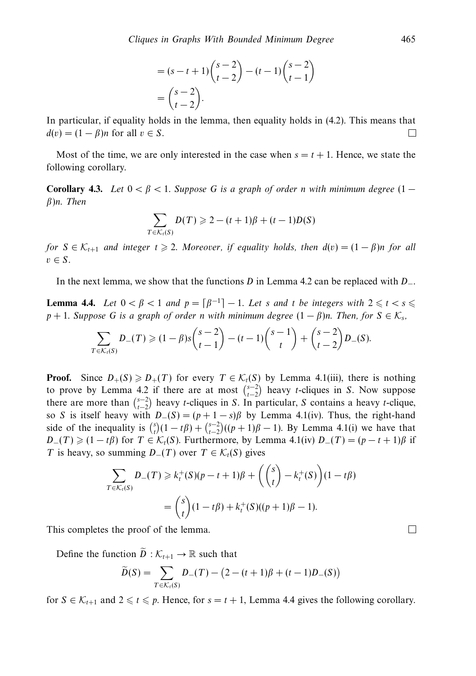$$
= (s - t + 1) {s - 2 \choose t - 2} - (t - 1) {s - 2 \choose t - 1}
$$

$$
= {s - 2 \choose t - 2}.
$$

In particular, if equality holds in the lemma, then equality holds in (4.2). This means that  $d(v) = (1 - \beta)n$  for all  $v \in S$ . П

Most of the time, we are only interested in the case when  $s = t + 1$ . Hence, we state the following corollary.

**Corollary 4.3.** Let  $0 < \beta < 1$ . Suppose G is a graph of order *n* with minimum degree  $(1$ *β*)*n*. Then

$$
\sum_{T \in \mathcal{K}_t(S)} D(T) \geqslant 2 - (t+1)\beta + (t-1)D(S)
$$

for  $S \in \mathcal{K}_{t+1}$  and integer  $t \ge 2$ . Moreover, if equality holds, then  $d(v) = (1 - \beta)n$  for all  $v \in S$ .

In the next lemma, we show that the functions *D* in Lemma 4.2 can be replaced with *D*−.

**Lemma 4.4.** Let  $0 < \beta < 1$  and  $p = \lceil \beta^{-1} \rceil - 1$ . Let *s* and *t* be integers with  $2 \leq t < s \leq$  $p + 1$ . Suppose *G* is a graph of order *n* with minimum degree  $(1 - \beta)n$ . Then, for  $S \in \mathcal{K}_s$ ,

$$
\sum_{T \in \mathcal{K}_t(S)} D_-(T) \geq (1-\beta)s \binom{s-2}{t-1} - (t-1)\binom{s-1}{t} + \binom{s-2}{t-2}D_-(S).
$$

**Proof.** Since  $D_+(S) \ge D_+(T)$  for every  $T \in \mathcal{K}_t(S)$  by Lemma 4.1(iii), there is nothing to prove by Lemma 4.2 if there are at most  $\binom{s-2}{t-2}$  heavy *t*-cliques in *S*. Now suppose there are more than  $\binom{s-2}{t-2}$  heavy *t*-cliques in *S*. In particular, *S* contains a heavy *t*-clique, so *S* is itself heavy with  $D_-(S)=(p+1-s)\beta$  by Lemma 4.1(iv). Thus, the right-hand side of the inequality is  $\binom{s}{t}(1-t\beta) + \binom{s-2}{t-2}((p+1)\beta - 1)$ . By Lemma 4.1(i) we have that  $D_{-}(T) \geq (1-t\beta)$  for  $T \in \mathcal{K}_t(S)$ . Furthermore, by Lemma 4.1(iv)  $D_{-}(T) = (p-t+1)\beta$  if *T* is heavy, so summing *D*−(*T*) over  $T \in \mathcal{K}_t(S)$  gives

$$
\sum_{T \in \mathcal{K}_t(S)} D_{-}(T) \ge k_t^+(S)(p - t + 1)\beta + \left(\binom{s}{t} - k_t^+(S)\right)(1 - t\beta)
$$

$$
= \binom{s}{t}(1 - t\beta) + k_t^+(S)((p + 1)\beta - 1).
$$

This completes the proof of the lemma.

Define the function  $\widetilde{D}: \mathcal{K}_{t+1} \to \mathbb{R}$  such that

$$
\widetilde{D}(S) = \sum_{T \in \mathcal{K}_t(S)} D_{-}(T) - (2 - (t+1)\beta + (t-1)D_{-}(S))
$$

for  $S \in \mathcal{K}_{t+1}$  and  $2 \leq t \leq p$ . Hence, for  $s = t + 1$ , Lemma 4.4 gives the following corollary.

 $\Box$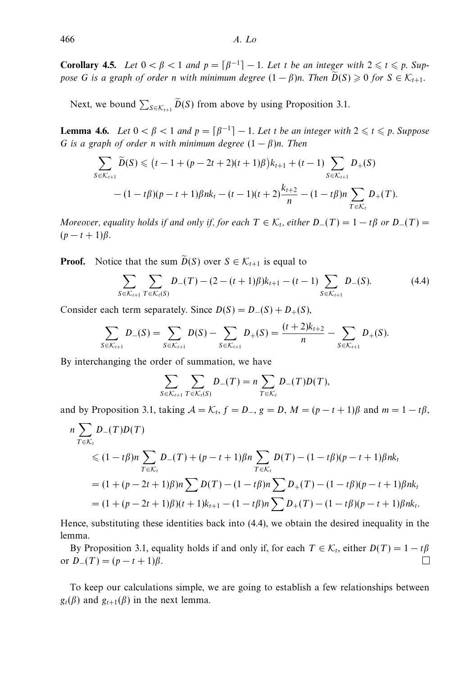**Corollary 4.5.** Let  $0 < \beta < 1$  and  $p = \lceil \beta^{-1} \rceil - 1$ . Let *t* be an integer with  $2 \le t \le p$ . Suppose *G* is a graph of order *n* with minimum degree  $(1 - \beta)n$ . Then  $\overline{D}(S) \geq 0$  for  $S \in \mathcal{K}_{t+1}$ .

Next, we bound  $\sum_{S \in \mathcal{K}_{t+1}} \tilde{D}(S)$  from above by using Proposition 3.1.

**Lemma 4.6.** Let  $0 < \beta < 1$  and  $p = \lceil \beta^{-1} \rceil - 1$ . Let t be an integer with  $2 \leq t \leq p$ . Suppose *G* is a graph of order *n* with minimum degree  $(1 - \beta)n$ . Then

$$
\sum_{S \in \mathcal{K}_{t+1}} \widetilde{D}(S) \leq (t - 1 + (p - 2t + 2)(t + 1)\beta)k_{t+1} + (t - 1) \sum_{S \in \mathcal{K}_{t+1}} D_{+}(S)
$$

$$
- (1 - t\beta)(p - t + 1)\beta nk_{t} - (t - 1)(t + 2)\frac{k_{t+2}}{n} - (1 - t\beta)n \sum_{T \in \mathcal{K}_{t}} D_{+}(T).
$$

Moreover, equality holds if and only if, for each  $T \in \mathcal{K}_t$ , either  $D_-(T) = 1 - t\beta$  or  $D_-(T) =$  $(p - t + 1)\beta$ .

**Proof.** Notice that the sum  $\widetilde{D}(S)$  over  $S \in \mathcal{K}_{t+1}$  is equal to

$$
\sum_{S \in \mathcal{K}_{t+1}} \sum_{T \in \mathcal{K}_t(S)} D_{-}(T) - (2 - (t+1)\beta)k_{t+1} - (t-1)\sum_{S \in \mathcal{K}_{t+1}} D_{-}(S). \tag{4.4}
$$

Consider each term separately. Since  $D(S) = D_-(S) + D_+(S)$ ,

$$
\sum_{S \in \mathcal{K}_{t+1}} D_{-}(S) = \sum_{S \in \mathcal{K}_{t+1}} D(S) - \sum_{S \in \mathcal{K}_{t+1}} D_{+}(S) = \frac{(t+2)k_{t+2}}{n} - \sum_{S \in \mathcal{K}_{t+1}} D_{+}(S).
$$

By interchanging the order of summation, we have

$$
\sum_{S \in \mathcal{K}_{t+1}} \sum_{T \in \mathcal{K}_t(S)} D_{-}(T) = n \sum_{T \in \mathcal{K}_t} D_{-}(T) D(T),
$$

and by Proposition 3.1, taking  $A = K_t$ ,  $f = D_-, g = D$ ,  $M = (p - t + 1)\beta$  and  $m = 1 - t\beta$ ,

$$
n \sum_{T \in \mathcal{K}_t} D_{-}(T)D(T)
$$
  
\n
$$
\leq (1 - t\beta)n \sum_{T \in \mathcal{K}_t} D_{-}(T) + (p - t + 1)\beta n \sum_{T \in \mathcal{K}_t} D(T) - (1 - t\beta)(p - t + 1)\beta nk_t
$$
  
\n
$$
= (1 + (p - 2t + 1)\beta)n \sum D(T) - (1 - t\beta)n \sum D_{+}(T) - (1 - t\beta)(p - t + 1)\beta nk_t
$$
  
\n
$$
= (1 + (p - 2t + 1)\beta)(t + 1)k_{t+1} - (1 - t\beta)n \sum D_{+}(T) - (1 - t\beta)(p - t + 1)\beta nk_t.
$$

Hence, substituting these identities back into (4.4), we obtain the desired inequality in the lemma.

By Proposition 3.1, equality holds if and only if, for each  $T \in \mathcal{K}_t$ , either  $D(T) = 1 - t\beta$ <br> $D_-(T) = (p - t + 1)\beta$ . or  $D_-(T) = (p - t + 1)\beta$ .

To keep our calculations simple, we are going to establish a few relationships between  $g_t(\beta)$  and  $g_{t+1}(\beta)$  in the next lemma.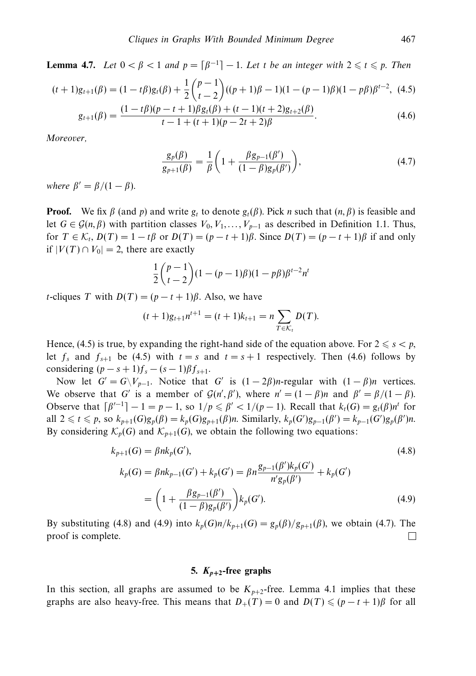**Lemma 4.7.** Let  $0 < \beta < 1$  and  $p = \lceil \beta^{-1} \rceil - 1$ . Let t be an integer with  $2 \leq t \leq p$ . Then

$$
(t+1)g_{t+1}(\beta) = (1-t\beta)g_t(\beta) + \frac{1}{2}\binom{p-1}{t-2}((p+1)\beta - 1)(1-(p-1)\beta)(1-p\beta)\beta^{t-2}, \tag{4.5}
$$
\n
$$
(t+1)g_{t+1}(\beta) = (1-t\beta)(p-t+1)\beta g_t(\beta) + (t-1)(t+2)g_{t+2}(\beta) \tag{4.6}
$$

$$
g_{t+1}(\beta) = \frac{(1-t\beta)(p-t+1)\beta g_t(\beta) + (t-1)(t+2)g_{t+2}(\beta)}{t-1 + (t+1)(p-2t+2)\beta}.
$$
\n(4.6)

Moreover,

$$
\frac{g_p(\beta)}{g_{p+1}(\beta)} = \frac{1}{\beta} \left( 1 + \frac{\beta g_{p-1}(\beta')}{(1-\beta)g_p(\beta')} \right),\tag{4.7}
$$

where  $\beta' = \beta/(1-\beta)$ .

**Proof.** We fix  $\beta$  (and  $p$ ) and write  $g_t$  to denote  $g_t(\beta)$ . Pick *n* such that  $(n, \beta)$  is feasible and let *G* ∈ G(*n, β*) with partition classes *V*0*, V*1*,...,Vp*−<sup>1</sup> as described in Definition 1.1. Thus, for  $T \in \mathcal{K}_t$ ,  $D(T) = 1 - t\beta$  or  $D(T) = (p - t + 1)\beta$ . Since  $D(T) = (p - t + 1)\beta$  if and only if  $|V(T) \cap V_0| = 2$ , there are exactly

$$
\frac{1}{2}\binom{p-1}{t-2}(1-(p-1)\beta)(1-p\beta)\beta^{t-2}n^{t}
$$

*t*-cliques *T* with  $D(T) = (p - t + 1)\beta$ . Also, we have

$$
(t+1)g_{t+1}n^{t+1} = (t+1)k_{t+1} = n \sum_{T \in \mathcal{K}_t} D(T).
$$

Hence, (4.5) is true, by expanding the right-hand side of the equation above. For  $2 \leq s < p$ , let  $f_s$  and  $f_{s+1}$  be (4.5) with  $t = s$  and  $t = s + 1$  respectively. Then (4.6) follows by considering  $(p - s + 1)f_s - (s - 1)\beta f_{s+1}$ .

Now let  $G' = G\backslash V_{n-1}$ . Notice that *G*' is  $(1 - 2\beta)n$ -regular with  $(1 - \beta)n$  vertices. We observe that *G*' is a member of  $G(n', \beta')$ , where  $n' = (1 - \beta)n$  and  $\beta' = \beta/(1 - \beta)$ . Observe that  $\lceil \beta'^{-1} \rceil - 1 = p - 1$ , so  $1/p \le \beta' < 1/(p - 1)$ . Recall that  $k_t(G) = g_t(\beta)n^t$  for all  $2 \leq t \leq p$ , so  $k_{p+1}(G)g_p(\beta) = k_p(G)g_{p+1}(\beta)n$ . Similarly,  $k_p(G')g_{p-1}(\beta') = k_{p-1}(G')g_p(\beta')n$ . By considering  $\mathcal{K}_p(G)$  and  $\mathcal{K}_{p+1}(G)$ , we obtain the following two equations:

$$
k_{p+1}(G) = \beta nk_p(G'),
$$
\n
$$
k_p(G) = \beta nk_{p-1}(G') + k_p(G') = \beta n \frac{g_{p-1}(\beta')k_p(G')}{n'g_p(\beta')} + k_p(G')
$$
\n
$$
= \left(1 + \frac{\beta g_{p-1}(\beta')}{(1 - \beta)g_p(\beta')}\right)k_p(G').
$$
\n(4.9)

By substituting (4.8) and (4.9) into  $k_p(G)n/k_{p+1}(G) = g_p(\beta)/g_{p+1}(\beta)$ , we obtain (4.7). The proof is complete.  $\Box$ 

## **5.**  $K_{p+2}$ -free graphs

In this section, all graphs are assumed to be  $K_{p+2}$ -free. Lemma 4.1 implies that these graphs are also heavy-free. This means that  $D_+(T) = 0$  and  $D(T) \leq (p - t + 1)\beta$  for all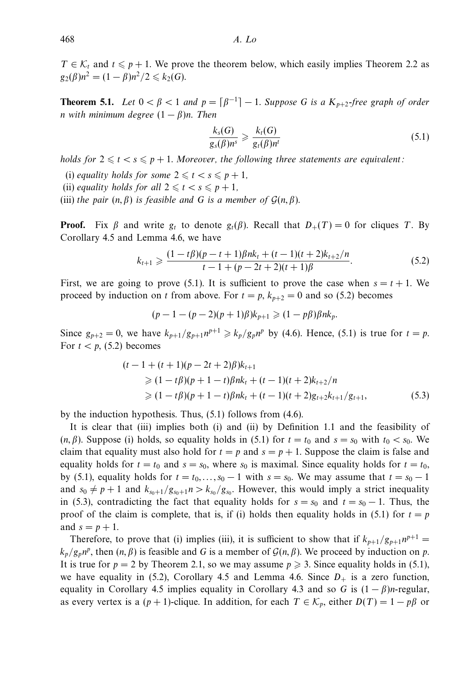*T* ∈  $K_t$  and  $t \le p + 1$ . We prove the theorem below, which easily implies Theorem 2.2 as  $g_2(\beta)n^2 = (1 - \beta)n^2/2 \leq k_2(G).$ 

**Theorem 5.1.** Let  $0 < \beta < 1$  and  $p = \lceil \beta^{-1} \rceil - 1$ . Suppose G is a  $K_{p+2}$ -free graph of order *n* with minimum degree  $(1 - \beta)n$ . Then

$$
\frac{k_s(G)}{g_s(\beta)n^s} \geqslant \frac{k_t(G)}{g_t(\beta)n^t} \tag{5.1}
$$

holds for  $2 \leqslant t < s \leqslant p + 1$ . Moreover, the following three statements are equivalent:

- (i) equality holds for some  $2 \leq t < s \leq p + 1$ ,
- (ii) equality holds for all  $2 \leq t < s \leq p + 1$ ,
- (iii) the pair  $(n, \beta)$  is feasible and G is a member of  $\mathcal{G}(n, \beta)$ .

**Proof.** Fix  $\beta$  and write  $g_t$  to denote  $g_t(\beta)$ . Recall that  $D_+(T) = 0$  for cliques *T*. By Corollary 4.5 and Lemma 4.6, we have

$$
k_{t+1} \geqslant \frac{(1-t\beta)(p-t+1)\beta nk_t + (t-1)(t+2)k_{t+2}/n}{t-1+(p-2t+2)(t+1)\beta}.
$$
\n
$$
(5.2)
$$

First, we are going to prove (5.1). It is sufficient to prove the case when  $s = t + 1$ . We proceed by induction on *t* from above. For  $t = p$ ,  $k_{p+2} = 0$  and so (5.2) becomes

$$
(p-1-(p-2)(p+1)\beta)k_{p+1} \geq (1-p\beta)\beta nk_p.
$$

Since  $g_{p+2} = 0$ , we have  $k_{p+1}/g_{p+1}n^{p+1} \ge k_p/g_pn^p$  by (4.6). Hence, (5.1) is true for  $t = p$ . For  $t < p$ , (5.2) becomes

$$
(t-1+(t+1)(p-2t+2)\beta)k_{t+1}
$$
  
\n
$$
\geq (1-t\beta)(p+1-t)\beta nk_t + (t-1)(t+2)k_{t+2}/n
$$
  
\n
$$
\geq (1-t\beta)(p+1-t)\beta nk_t + (t-1)(t+2)g_{t+2}k_{t+1}/g_{t+1},
$$
\n(5.3)

by the induction hypothesis. Thus, (5.1) follows from (4.6).

It is clear that (iii) implies both (i) and (ii) by Definition 1.1 and the feasibility of (*n, β*). Suppose (i) holds, so equality holds in (5.1) for  $t = t_0$  and  $s = s_0$  with  $t_0 < s_0$ . We claim that equality must also hold for  $t = p$  and  $s = p + 1$ . Suppose the claim is false and equality holds for  $t = t_0$  and  $s = s_0$ , where  $s_0$  is maximal. Since equality holds for  $t = t_0$ , by (5.1), equality holds for  $t = t_0, \ldots, s_0 - 1$  with  $s = s_0$ . We may assume that  $t = s_0 - 1$ and  $s_0 \neq p+1$  and  $k_{s_0+1}/g_{s_0+1}$   $\neq$   $k_{s_0}/g_{s_0}$ . However, this would imply a strict inequality in (5.3), contradicting the fact that equality holds for  $s = s_0$  and  $t = s_0 - 1$ . Thus, the proof of the claim is complete, that is, if (i) holds then equality holds in (5.1) for  $t = p$ and  $s = p + 1$ .

Therefore, to prove that (i) implies (iii), it is sufficient to show that if  $k_{p+1}/g_{p+1}n^{p+1} =$  $k_p/g_p n^p$ , then  $(n, \beta)$  is feasible and *G* is a member of  $\mathcal{G}(n, \beta)$ . We proceed by induction on *p*. It is true for  $p = 2$  by Theorem 2.1, so we may assume  $p \ge 3$ . Since equality holds in (5.1), we have equality in (5.2), Corollary 4.5 and Lemma 4.6. Since  $D_+$  is a zero function, equality in Corollary 4.5 implies equality in Corollary 4.3 and so *G* is  $(1 - \beta)n$ -regular, as every vertex is a  $(p + 1)$ -clique. In addition, for each  $T \in \mathcal{K}_p$ , either  $D(T) = 1 - p\beta$  or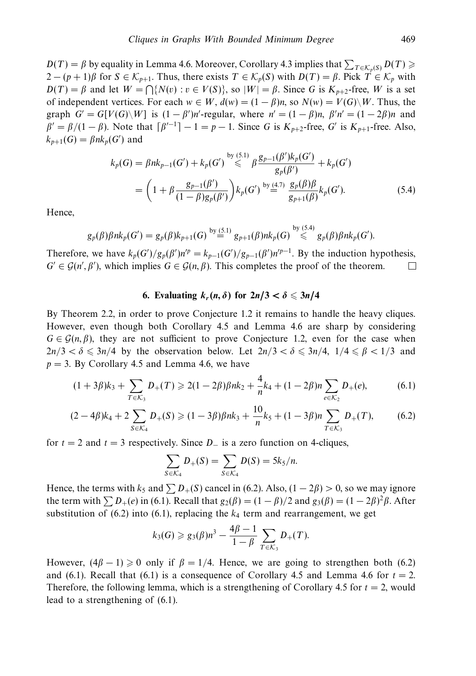$D(T) = \beta$  by equality in Lemma 4.6. Moreover, Corollary 4.3 implies that  $\sum_{T \in \mathcal{K}_p(S)} D(T) \ge$  $2 - (p + 1)\beta$  for  $S \in \mathcal{K}_{p+1}$ . Thus, there exists  $T \in \mathcal{K}_p(S)$  with  $D(T) = \beta$ . Pick  $T \in \mathcal{K}_p$  with  $D(T) = \beta$  and let  $W = \bigcap \{N(v) : v \in V(S)\},\$  so  $|W| = \beta$ . Since *G* is  $K_{p+2}$ -free, *W* is a set of independent vertices. For each  $w \in W$ ,  $d(w) = (1 - \beta)n$ , so  $N(w) = V(G)\setminus W$ . Thus, the graph  $G' = G[V(G) \setminus W]$  is  $(1 - \beta')n'$ -regular, where  $n' = (1 - \beta)n$ ,  $\beta'n' = (1 - 2\beta)n$  and *β*<sup>'</sup> = *β*/(1 − *β*). Note that  $\lceil \beta'^{-1} \rceil - 1 = p - 1$ . Since *G* is  $K_{p+2}$ -free, *G'* is  $K_{p+1}$ -free. Also,  $k_{p+1}(G) = \beta nk_p(G')$  and

$$
k_p(G) = \beta n k_{p-1}(G') + k_p(G') \stackrel{\text{by (5.1)}}{\leq} \beta \frac{g_{p-1}(\beta') k_p(G')}{g_p(\beta')} + k_p(G')
$$
  
= 
$$
\left(1 + \beta \frac{g_{p-1}(\beta')}{(1 - \beta)g_p(\beta')}\right) k_p(G') \stackrel{\text{by (4.7)}}{\leq} \frac{g_p(\beta)\beta}{g_{p+1}(\beta)} k_p(G').
$$
 (5.4)

Hence,

$$
g_p(\beta)\beta nk_p(G') = g_p(\beta)k_{p+1}(G) \stackrel{\text{by } (\mathcal{S},1)}{=} g_{p+1}(\beta)nk_p(G) \stackrel{\text{by } (\mathcal{S},4)}{\leqslant} g_p(\beta)\beta nk_p(G').
$$

Therefore, we have  $k_p(G')/g_p(\beta')n'^p = k_{p-1}(G')/g_{p-1}(\beta')n'^{p-1}$ . By the induction hypothesis,  $G' \in \mathcal{G}(n', \beta')$ , which implies  $G \in \mathcal{G}(n, \beta)$ . This completes the proof of the theorem. П

## **6.** Evaluating  $k_r(n, \delta)$  for  $2n/3 < \delta \leqslant 3n/4$

By Theorem 2.2, in order to prove Conjecture 1.2 it remains to handle the heavy cliques. However, even though both Corollary 4.5 and Lemma 4.6 are sharp by considering  $G \in \mathcal{G}(n, \beta)$ , they are not sufficient to prove Conjecture 1.2, even for the case when  $2n/3 < \delta \leq 3n/4$  by the observation below. Let  $2n/3 < \delta \leq 3n/4$ ,  $1/4 \leq \beta < 1/3$  and  $p = 3$ . By Corollary 4.5 and Lemma 4.6, we have

$$
(1+3\beta)k_3 + \sum_{T \in \mathcal{K}_3} D_+(T) \geq 2(1-2\beta)\beta nk_2 + \frac{4}{n}k_4 + (1-2\beta)n \sum_{e \in \mathcal{K}_2} D_+(e),\tag{6.1}
$$

$$
(2-4\beta)k_4 + 2\sum_{S \in \mathcal{K}_4} D_+(S) \geq (1-3\beta)\beta nk_3 + \frac{10}{n}k_5 + (1-3\beta)n\sum_{T \in \mathcal{K}_3} D_+(T),\tag{6.2}
$$

for  $t = 2$  and  $t = 3$  respectively. Since  $D_-\$  is a zero function on 4-cliques,

$$
\sum_{S\in\mathcal{K}_4} D_+(S) = \sum_{S\in\mathcal{K}_4} D(S) = 5k_S/n.
$$

Hence, the terms with  $k_5$  and  $\sum_{i=1}^{n} D_{+}(S)$  cancel in (6.2). Also,  $(1 - 2\beta) > 0$ , so we may ignore the term with  $\sum D_{+}(e)$  in (6.1). Recall that  $g_2(\beta) = (1 - \beta)/2$  and  $g_3(\beta) = (1 - 2\beta)^2 \beta$ . After substitution of  $(6.2)$  into  $(6.1)$ , replacing the  $k_4$  term and rearrangement, we get

$$
k_3(G) \ge g_3(\beta)n^3 - \frac{4\beta - 1}{1 - \beta} \sum_{T \in \mathcal{K}_3} D_+(T).
$$

However,  $(4\beta - 1) \ge 0$  only if  $\beta = 1/4$ . Hence, we are going to strengthen both (6.2) and (6.1). Recall that (6.1) is a consequence of Corollary 4.5 and Lemma 4.6 for  $t = 2$ . Therefore, the following lemma, which is a strengthening of Corollary 4.5 for  $t = 2$ , would lead to a strengthening of (6.1).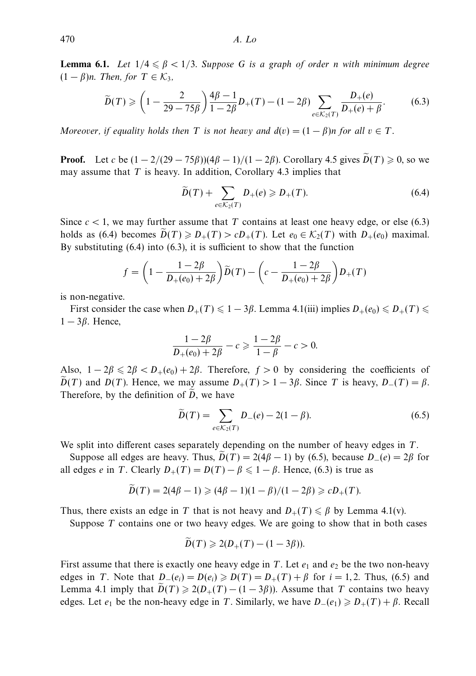**Lemma 6.1.** Let  $1/4 \le \beta < 1/3$ . Suppose G is a graph of order *n* with minimum degree  $(1 - \beta)n$ . Then, for  $T \in \mathcal{K}_3$ ,

$$
\widetilde{D}(T) \geq \left(1 - \frac{2}{29 - 75\beta}\right) \frac{4\beta - 1}{1 - 2\beta} D_+(T) - (1 - 2\beta) \sum_{e \in \mathcal{K}_2(T)} \frac{D_+(e)}{D_+(e) + \beta}.
$$
 (6.3)

Moreover, if equality holds then *T* is not heavy and  $d(v) = (1 - \beta)n$  for all  $v \in T$ .

**Proof.** Let *c* be  $(1 - 2/(29 - 75\beta))(4\beta - 1)/(1 - 2\beta)$ . Corollary 4.5 gives  $\tilde{D}(T) \ge 0$ , so we may assume that *T* is heavy. In addition, Corollary 4.3 implies that

$$
\widetilde{D}(T) + \sum_{e \in \mathcal{K}_2(T)} D_+(e) \geq D_+(T). \tag{6.4}
$$

Since  $c < 1$ , we may further assume that T contains at least one heavy edge, or else (6.3) holds as (6.4) becomes  $D(T) \ge D_+(T) > cD_+(T)$ . Let  $e_0 \in K_2(T)$  with  $D_+(e_0)$  maximal. By substituting (6.4) into (6.3), it is sufficient to show that the function

$$
f = \left(1 - \frac{1 - 2\beta}{D_{+}(e_0) + 2\beta}\right)\widetilde{D}(T) - \left(c - \frac{1 - 2\beta}{D_{+}(e_0) + 2\beta}\right)D_{+}(T)
$$

is non-negative.

 $\mathcal{L}$ 

First consider the case when  $D_+(T) \leq 1 - 3\beta$ . Lemma 4.1(iii) implies  $D_+(e_0) \leq D_+(T) \leq$ 1 − 3*β*. Hence,

$$
\frac{1 - 2\beta}{D_{+}(e_0) + 2\beta} - c \ge \frac{1 - 2\beta}{1 - \beta} - c > 0.
$$

Also,  $1 - 2\beta \leq 2\beta < D_+(e_0) + 2\beta$ . Therefore,  $f > 0$  by considering the coefficients of  $D(T)$  and  $D(T)$ . Hence, we may assume  $D_+(T) > 1 - 3\beta$ . Since *T* is heavy,  $D_-(T) = \beta$ . Therefore, by the definition of *D*, we have

$$
\widetilde{D}(T) = \sum_{e \in \mathcal{K}_2(T)} D_{-}(e) - 2(1 - \beta). \tag{6.5}
$$

We split into different cases separately depending on the number of heavy edges in *T*.

Suppose all edges are heavy. Thus,  $\dot{D}(T) = 2(4\beta - 1)$  by (6.5), because  $D_-(e) = 2\beta$  for all edges *e* in *T*. Clearly  $D_+(T) = D(T) - \beta \leq 1 - \beta$ . Hence, (6.3) is true as

$$
D(T) = 2(4\beta - 1) \ge (4\beta - 1)(1 - \beta)/(1 - 2\beta) \ge cD_{+}(T).
$$

Thus, there exists an edge in *T* that is not heavy and  $D_+(T) \leq \beta$  by Lemma 4.1(v).

Suppose *T* contains one or two heavy edges. We are going to show that in both cases

$$
D(T) \geq 2(D_{+}(T) - (1 - 3\beta)).
$$

First assume that there is exactly one heavy edge in *T*. Let  $e_1$  and  $e_2$  be the two non-heavy edges in *T*. Note that  $D_-(e_i) = D(e_i) \ge D(T) = D_+(T) + \beta$  for  $i = 1, 2$ . Thus, (6.5) and Lemma 4.1 imply that  $\hat{D}(T) \geq 2(D_+(T) - (1-3\beta))$ . Assume that *T* contains two heavy edges. Let  $e_1$  be the non-heavy edge in *T*. Similarly, we have  $D_-(e_1) \ge D_+(T) + \beta$ . Recall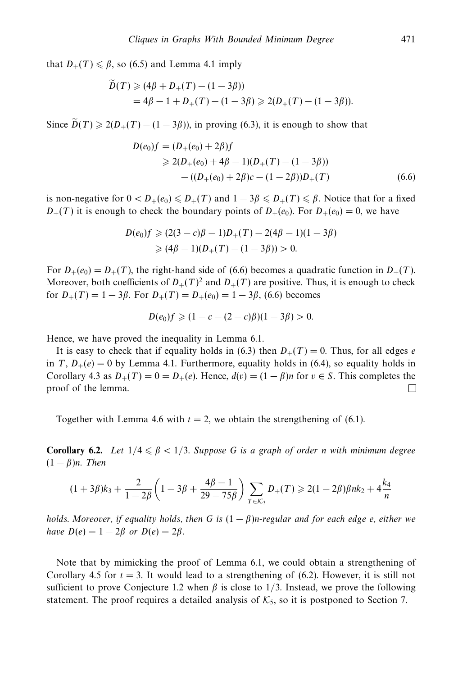that  $D_+(T) \leq \beta$ , so (6.5) and Lemma 4.1 imply

$$
\begin{aligned} \widetilde{D}(T) &\geq (4\beta + D_+(T) - (1 - 3\beta)) \\ &= 4\beta - 1 + D_+(T) - (1 - 3\beta) \geq 2(D_+(T) - (1 - 3\beta)). \end{aligned}
$$

Since  $\widetilde{D}(T) \geq 2(D_+(T) - (1-3\beta))$ , in proving (6.3), it is enough to show that

$$
D(e_0)f = (D_+(e_0) + 2\beta)f
$$
  
\n
$$
\geq 2(D_+(e_0) + 4\beta - 1)(D_+(T) - (1 - 3\beta))
$$
  
\n
$$
-(D_+(e_0) + 2\beta)c - (1 - 2\beta))D_+(T)
$$
\n(6.6)

is non-negative for  $0 < D_+(e_0) \leq D_+(T)$  and  $1-3\beta \leq D_+(T) \leq \beta$ . Notice that for a fixed  $D_{+}(T)$  it is enough to check the boundary points of  $D_{+}(e_0)$ . For  $D_{+}(e_0) = 0$ , we have

$$
D(e_0)f \ge (2(3-c)\beta - 1)D_+(T) - 2(4\beta - 1)(1 - 3\beta)
$$
  
\n
$$
\ge (4\beta - 1)(D_+(T) - (1 - 3\beta)) > 0.
$$

For  $D_+(e_0) = D_+(T)$ , the right-hand side of (6.6) becomes a quadratic function in  $D_+(T)$ . Moreover, both coefficients of  $D_+(T)^2$  and  $D_+(T)$  are positive. Thus, it is enough to check for  $D_{+}(T) = 1 - 3\beta$ . For  $D_{+}(T) = D_{+}(e_0) = 1 - 3\beta$ , (6.6) becomes

$$
D(e_0)f \geq (1 - c - (2 - c)\beta)(1 - 3\beta) > 0.
$$

Hence, we have proved the inequality in Lemma 6.1.

It is easy to check that if equality holds in (6.3) then  $D_{+}(T) = 0$ . Thus, for all edges *e* in *T*,  $D_{+}(e) = 0$  by Lemma 4.1. Furthermore, equality holds in (6.4), so equality holds in Corollary 4.3 as  $D_+(T)=0=D_+(e)$ . Hence,  $d(v)=(1-\beta)n$  for  $v \in S$ . This completes the proof of the lemma.  $\Box$ 

Together with Lemma 4.6 with  $t = 2$ , we obtain the strengthening of (6.1).

**Corollary 6.2.** Let  $1/4 \leq \beta < 1/3$ . Suppose G is a graph of order *n* with minimum degree  $(1 - \beta)n$ . Then

$$
(1+3\beta)k_3 + \frac{2}{1-2\beta} \left(1 - 3\beta + \frac{4\beta - 1}{29 - 75\beta} \right) \sum_{T \in \mathcal{K}_3} D_+(T) \geq 2(1 - 2\beta)\beta nk_2 + 4\frac{k_4}{n}
$$

holds. Moreover, if equality holds, then *G* is  $(1 - \beta)n$ -regular and for each edge *e*, either we *have*  $D(e) = 1 - 2\beta$  or  $D(e) = 2\beta$ .

Note that by mimicking the proof of Lemma 6.1, we could obtain a strengthening of Corollary 4.5 for  $t = 3$ . It would lead to a strengthening of  $(6.2)$ . However, it is still not sufficient to prove Conjecture 1.2 when  $\beta$  is close to 1/3. Instead, we prove the following statement. The proof requires a detailed analysis of  $K_5$ , so it is postponed to Section 7.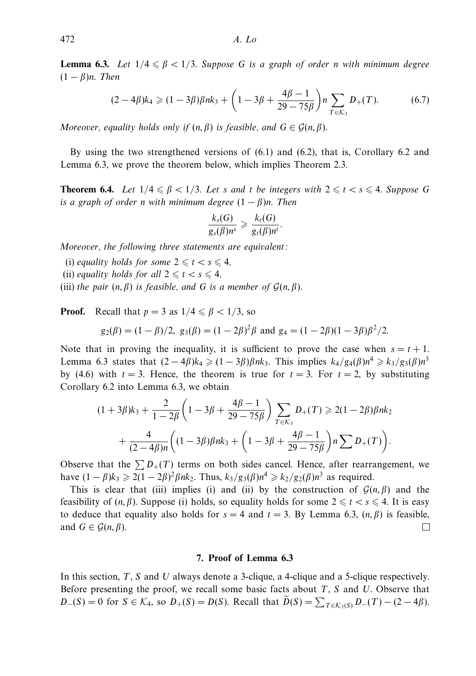**Lemma 6.3.** Let  $1/4 \le \beta < 1/3$ . Suppose G is a graph of order *n* with minimum degree  $(1 - \beta)n$ . Then

$$
(2-4\beta)k_4 \ge (1-3\beta)\beta nk_3 + \left(1-3\beta + \frac{4\beta-1}{29-75\beta}\right)n \sum_{T \in \mathcal{K}_3} D_+(T). \tag{6.7}
$$

Moreover, equality holds only if  $(n, \beta)$  is feasible, and  $G \in \mathcal{G}(n, \beta)$ .

By using the two strengthened versions of (6.1) and (6.2), that is, Corollary 6.2 and Lemma 6.3, we prove the theorem below, which implies Theorem 2.3.

**Theorem 6.4.** Let  $1/4 \le \beta < 1/3$ . Let *s* and *t* be integers with  $2 \le t < s \le 4$ . Suppose G is a graph of order *n* with minimum degree  $(1 - \beta)n$ . Then

$$
\frac{k_s(G)}{g_s(\beta)n^s} \geqslant \frac{k_t(G)}{g_t(\beta)n^t}.
$$

Moreover, the following three statements are equivalent:

(i) equality holds for some  $2 \leq t < s \leq 4$ ,

- (ii) equality holds for all  $2 \leq t < s \leq 4$ ,
- (iii) the pair  $(n, \beta)$  is feasible, and *G* is a member of  $\mathcal{G}(n, \beta)$ .

**Proof.** Recall that  $p = 3$  as  $1/4 \leq \beta < 1/3$ , so

$$
g_2(\beta) = (1 - \beta)/2
$$
,  $g_3(\beta) = (1 - 2\beta)^2 \beta$  and  $g_4 = (1 - 2\beta)(1 - 3\beta)\beta^2/2$ .

Note that in proving the inequality, it is sufficient to prove the case when  $s = t + 1$ . Lemma 6.3 states that  $(2 - 4\beta)k_4 \geq (1 - 3\beta)\beta nk_3$ . This implies  $k_4/g_4(\beta)n^4 \geq k_3/g_3(\beta)n^3$ by (4.6) with  $t = 3$ . Hence, the theorem is true for  $t = 3$ . For  $t = 2$ , by substituting Corollary 6.2 into Lemma 6.3, we obtain

$$
(1+3\beta)k_3 + \frac{2}{1-2\beta} \left(1 - 3\beta + \frac{4\beta - 1}{29 - 75\beta}\right) \sum_{T \in \mathcal{K}_3} D_+(T) \ge 2(1 - 2\beta)\beta nk_2 + \frac{4}{(2-4\beta)n} \left(1 - 3\beta\beta nk_3 + \left(1 - 3\beta + \frac{4\beta - 1}{29 - 75\beta}\right)n \sum D_+(T)\right).
$$

Observe that the  $\sum D_{+}(T)$  terms on both sides cancel. Hence, after rearrangement, we have  $(1 - \beta)k_3 \geq 2(1 - 2\beta)^2 \beta nk_2$ . Thus,  $k_3/g_3(\beta)n^4 \geq k_2/g_2(\beta)n^3$  as required.

This is clear that (iii) implies (i) and (ii) by the construction of  $\mathcal{G}(n, \beta)$  and the feasibility of  $(n, \beta)$ . Suppose (i) holds, so equality holds for some  $2 \leq t < s \leq 4$ . It is easy to deduce that equality also holds for  $s = 4$  and  $t = 3$ . By Lemma 6.3,  $(n, \beta)$  is feasible, and  $G \in \mathcal{G}(n, \beta)$ .  $\Box$ 

#### **7. Proof of Lemma 6.3**

In this section, *T*, *S* and *U* always denote a 3-clique, a 4-clique and a 5-clique respectively. Before presenting the proof, we recall some basic facts about *T*, *S* and *U*. Observe that *D*−(*S*) = 0 for *S* ∈ K<sub>4</sub>, so *D*<sub>+</sub>(*S*) = *D*(*S*). Recall that  $\widetilde{D}(S) = \sum_{T \in K_3(S)} D_-(T) - (2 - 4\beta)$ .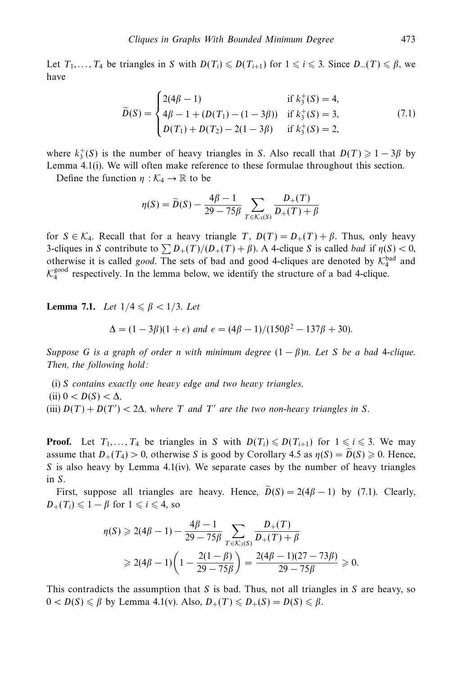Let  $T_1, \ldots, T_4$  be triangles in *S* with  $D(T_i) \le D(T_{i+1})$  for  $1 \le i \le 3$ . Since  $D_-(T) \le \beta$ , we have

$$
\widetilde{D}(S) = \begin{cases}\n2(4\beta - 1) & \text{if } k_3^+(S) = 4, \\
4\beta - 1 + (D(T_1) - (1 - 3\beta)) & \text{if } k_3^+(S) = 3, \\
D(T_1) + D(T_2) - 2(1 - 3\beta) & \text{if } k_3^+(S) = 2,\n\end{cases}
$$
\n(7.1)

where  $k_3^+(S)$  is the number of heavy triangles in *S*. Also recall that  $D(T) \geq 1 - 3\beta$  by Lemma 4.1(i). We will often make reference to these formulae throughout this section.

Define the function  $\eta : \mathcal{K}_4 \to \mathbb{R}$  to be

$$
\eta(S) = \widetilde{D}(S) - \frac{4\beta - 1}{29 - 75\beta} \sum_{T \in \mathcal{K}_3(S)} \frac{D_+(T)}{D_+(T) + \beta}
$$

for  $S \in \mathcal{K}_4$ . Recall that for a heavy triangle *T*,  $D(T) = D_+(T) + \beta$ . Thus, only heavy 3-cliques in *S* contribute to  $\sum D_{+}(T)/(D_{+}(T) + \beta)$ . A 4-clique *S* is called *bad* if  $\eta(S) < 0$ , otherwise it is called *good*. The sets of bad and good 4-cliques are denoted by  $\mathcal{K}_4^{\text{bad}}$  and  $\mathcal{K}_4^{\text{good}}$  respectively. In the lemma below, we identify the structure of a bad 4-clique.

**Lemma 7.1.** Let  $1/4 \leq \beta < 1/3$ . Let

$$
\Delta = (1 - 3\beta)(1 + \epsilon) \text{ and } \epsilon = (4\beta - 1)/(150\beta^2 - 137\beta + 30).
$$

Suppose *G* is a graph of order *n* with minimum degree  $(1 - \beta)n$ . Let *S* be a bad 4-clique. Then, the following hold:

(i) *S* contains exactly one heavy edge and two heavy triangles,  $(ii)$   $0 < D(S) < \Delta$ , (iii)  $D(T) + D(T') < 2\Delta$ , where *T* and *T'* are the two non-heavy triangles in *S*.

**Proof.** Let  $T_1, \ldots, T_4$  be triangles in *S* with  $D(T_i) \le D(T_{i+1})$  for  $1 \le i \le 3$ . We may assume that  $D_+(T_4) > 0$ , otherwise *S* is good by Corollary 4.5 as  $\eta(S) = D(S) \ge 0$ . Hence, *S* is also heavy by Lemma 4.1(iv). We separate cases by the number of heavy triangles in *S*.

First, suppose all triangles are heavy. Hence,  $\tilde{D}(S) = 2(4\beta - 1)$  by (7.1). Clearly,  $D_{+}(T_i) \leq 1 - \beta$  for  $1 \leq i \leq 4$ , so

$$
\eta(S) \geq 2(4\beta - 1) - \frac{4\beta - 1}{29 - 75\beta} \sum_{T \in \mathcal{K}_3(S)} \frac{D_+(T)}{D_+(T) + \beta}
$$
  
 
$$
\geq 2(4\beta - 1)\left(1 - \frac{2(1 - \beta)}{29 - 75\beta}\right) = \frac{2(4\beta - 1)(27 - 73\beta)}{29 - 75\beta} \geq 0.
$$

This contradicts the assumption that *S* is bad. Thus, not all triangles in *S* are heavy, so  $0 < D(S) \le \beta$  by Lemma 4.1(v). Also,  $D_+(T) \le D_+(S) = D(S) \le \beta$ .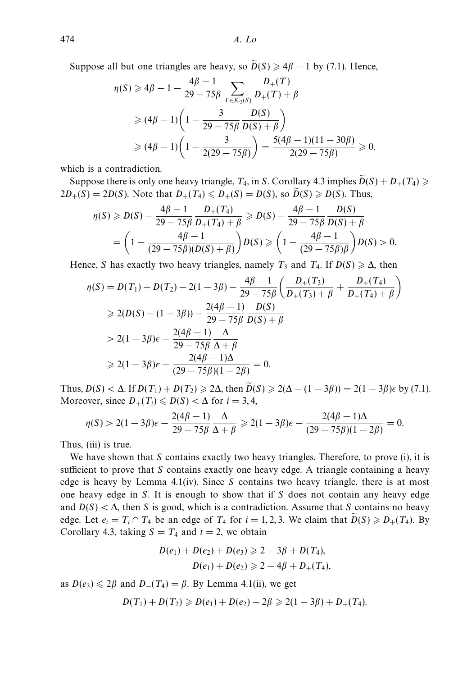Suppose all but one triangles are heavy, so  $\widetilde{D}(S) \geq 4\beta - 1$  by (7.1). Hence,

$$
\eta(S) \ge 4\beta - 1 - \frac{4\beta - 1}{29 - 75\beta} \sum_{T \in \mathcal{K}_3(S)} \frac{D_+(T)}{D_+(T) + \beta}
$$
  
\n
$$
\ge (4\beta - 1) \left( 1 - \frac{3}{29 - 75\beta} \frac{D(S)}{D(S) + \beta} \right)
$$
  
\n
$$
\ge (4\beta - 1) \left( 1 - \frac{3}{2(29 - 75\beta)} \right) = \frac{5(4\beta - 1)(11 - 30\beta)}{2(29 - 75\beta)} \ge 0,
$$

which is a contradiction.

Suppose there is only one heavy triangle,  $T_4$ , in *S*. Corollary 4.3 implies  $\widetilde{D}(S) + D_+(T_4) \geq$  $2D_{+}(S) = 2D(S)$ . Note that  $D_{+}(T_4) \leq D_{+}(S) = D(S)$ , so  $D(S) \geq D(S)$ . Thus,

$$
\eta(S) \ge D(S) - \frac{4\beta - 1}{29 - 75\beta} \frac{D_+(T_4)}{D_+(T_4) + \beta} \ge D(S) - \frac{4\beta - 1}{29 - 75\beta} \frac{D(S)}{D(S) + \beta}
$$

$$
= \left(1 - \frac{4\beta - 1}{(29 - 75\beta)(D(S) + \beta)}\right)D(S) \ge \left(1 - \frac{4\beta - 1}{(29 - 75\beta)\beta}\right)D(S) > 0.
$$

Hence, *S* has exactly two heavy triangles, namely  $T_3$  and  $T_4$ . If  $D(S) \ge \Delta$ , then

$$
\eta(S) = D(T_1) + D(T_2) - 2(1 - 3\beta) - \frac{4\beta - 1}{29 - 75\beta} \left( \frac{D_+(T_3)}{D_+(T_3) + \beta} + \frac{D_+(T_4)}{D_+(T_4) + \beta} \right)
$$
  
\n
$$
\geq 2(D(S) - (1 - 3\beta)) - \frac{2(4\beta - 1)}{29 - 75\beta} \frac{D(S)}{D(S) + \beta}
$$
  
\n
$$
> 2(1 - 3\beta)\epsilon - \frac{2(4\beta - 1)}{29 - 75\beta} \frac{\Delta}{\Delta + \beta}
$$
  
\n
$$
\geq 2(1 - 3\beta)\epsilon - \frac{2(4\beta - 1)\Delta}{(29 - 75\beta)(1 - 2\beta)} = 0.
$$

Thus,  $D(S) < \Delta$ . If  $D(T_1) + D(T_2) \ge 2\Delta$ , then  $\widetilde{D}(S) \ge 2(\Delta - (1 - 3\beta)) = 2(1 - 3\beta)\epsilon$  by (7.1). Moreover, since  $D_+(T_i) \le D(S) < \Delta$  for  $i = 3, 4$ ,

$$
\eta(S) > 2(1 - 3\beta)\epsilon - \frac{2(4\beta - 1)}{29 - 75\beta} \frac{\Delta}{\Delta + \beta} \ge 2(1 - 3\beta)\epsilon - \frac{2(4\beta - 1)\Delta}{(29 - 75\beta)(1 - 2\beta)} = 0.
$$

Thus, (iii) is true.

We have shown that *S* contains exactly two heavy triangles. Therefore, to prove (i), it is sufficient to prove that *S* contains exactly one heavy edge. A triangle containing a heavy edge is heavy by Lemma 4.1(iv). Since *S* contains two heavy triangle, there is at most one heavy edge in *S*. It is enough to show that if *S* does not contain any heavy edge and  $D(S) < \Delta$ , then *S* is good, which is a contradiction. Assume that *S* contains no heavy edge. Let  $e_i = T_i \cap T_4$  be an edge of  $T_4$  for  $i = 1, 2, 3$ . We claim that  $D(S) \ge D_+(T_4)$ . By Corollary 4.3, taking  $S = T_4$  and  $t = 2$ , we obtain

$$
D(e_1) + D(e_2) + D(e_3) \geq 2 - 3\beta + D(T_4),
$$
  
 
$$
D(e_1) + D(e_2) \geq 2 - 4\beta + D_+(T_4),
$$

as  $D(e_3) \leq 2\beta$  and  $D_-(T_4) = \beta$ . By Lemma 4.1(ii), we get

$$
D(T_1) + D(T_2) \geqslant D(e_1) + D(e_2) - 2\beta \geqslant 2(1 - 3\beta) + D_+(T_4).
$$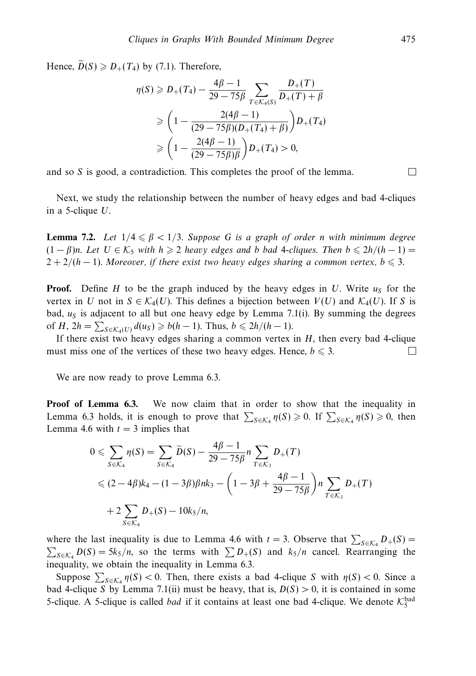Hence,  $\widetilde{D}(S) \ge D_+(T_4)$  by (7.1). Therefore,

$$
\eta(S) \ge D_{+}(T_{4}) - \frac{4\beta - 1}{29 - 75\beta} \sum_{T \in \mathcal{K}_{4}(S)} \frac{D_{+}(T)}{D_{+}(T) + \beta}
$$
  
\n
$$
\ge \left(1 - \frac{2(4\beta - 1)}{(29 - 75\beta)(D_{+}(T_{4}) + \beta)}\right)D_{+}(T_{4})
$$
  
\n
$$
\ge \left(1 - \frac{2(4\beta - 1)}{(29 - 75\beta)\beta}\right)D_{+}(T_{4}) > 0,
$$

and so *S* is good, a contradiction. This completes the proof of the lemma.

Next, we study the relationship between the number of heavy edges and bad 4-cliques in a 5-clique *U*.

**Lemma 7.2.** Let  $1/4 \le \beta < 1/3$ . Suppose G is a graph of order *n* with minimum degree  $(1 - \beta)n$ . Let  $U \in \mathcal{K}_5$  with  $h \geq 2$  heavy edges and *b* bad 4-cliques. Then  $b \leq 2h/(h-1) =$  $2+2/(h-1)$ . Moreover, if there exist two heavy edges sharing a common vertex,  $b \leqslant 3$ .

**Proof.** Define *H* to be the graph induced by the heavy edges in *U*. Write  $u_S$  for the vertex in *U* not in  $S \in \mathcal{K}_4(U)$ . This defines a bijection between  $V(U)$  and  $\mathcal{K}_4(U)$ . If *S* is bad,  $u<sub>S</sub>$  is adjacent to all but one heavy edge by Lemma 7.1(i). By summing the degrees of *H*,  $2h = \sum_{S \in \mathcal{K}_4(U)} d(u_S) \ge b(h-1)$ . Thus,  $b \le 2h/(h-1)$ .

If there exist two heavy edges sharing a common vertex in *H*, then every bad 4-clique must miss one of the vertices of these two heavy edges. Hence,  $b \leq 3$ .  $\Box$ 

We are now ready to prove Lemma 6.3.

**Proof of Lemma 6.3.** We now claim that in order to show that the inequality in Lemma 6.3 holds, it is enough to prove that  $\sum_{S \in \mathcal{K}_4} \eta(S) \geq 0$ . If  $\sum_{S \in \mathcal{K}_4} \eta(S) \geq 0$ , then Lemma 4.6 with  $t = 3$  implies that

$$
0 \leqslant \sum_{S \in \mathcal{K}_4} \eta(S) = \sum_{S \in \mathcal{K}_4} \widetilde{D}(S) - \frac{4\beta - 1}{29 - 75\beta} n \sum_{T \in \mathcal{K}_3} D_+(T)
$$
  
\$\leqslant (2 - 4\beta)k\_4 - (1 - 3\beta)\beta n k\_3 - \left(1 - 3\beta + \frac{4\beta - 1}{29 - 75\beta}\right)n \sum\_{T \in \mathcal{K}\_3} D\_+(T)\$  
+ 2 \sum\_{S \in \mathcal{K}\_4} D\_+(S) - 10k\_5/n,

where the last inequality is due to Lemma 4.6 with  $t = 3$ . Observe that  $\sum_{S \in \mathcal{K}_4} D_+(S) =$  $\sum_{S \in \mathcal{K}_4} D(S) = 5k_5/n$ , so the terms with  $\sum_{s \in \mathcal{K}_4} D(S)$  and  $k_5/n$  cancel. Rearranging the inequality, we obtain the inequality in Lemma 6.3.

Suppose  $\sum_{S \in \mathcal{K}_4} \eta(S) < 0$ . Then, there exists a bad 4-clique *S* with  $\eta(S) < 0$ . Since a bad 4-clique *S* by Lemma 7.1(ii) must be heavy, that is,  $D(S) > 0$ , it is contained in some 5-clique. A 5-clique is called *bad* if it contains at least one bad 4-clique. We denote  $\mathcal{K}_5^{\text{bad}}$ 

 $\Box$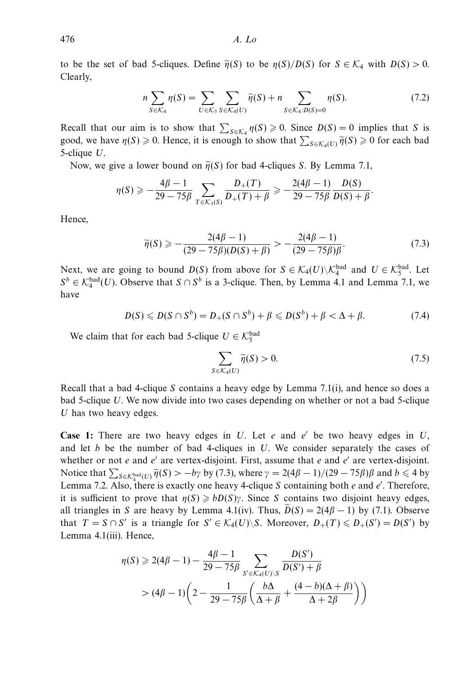to be the set of bad 5-cliques. Define  $\tilde{\eta}(S)$  to be  $\eta(S)/D(S)$  for  $S \in \mathcal{K}_4$  with  $D(S) > 0$ . Clearly,

$$
n\sum_{S\in\mathcal{K}_4}\eta(S) = \sum_{U\in\mathcal{K}_S}\sum_{S\in\mathcal{K}_4(U)}\widetilde{\eta}(S) + n\sum_{S\in\mathcal{K}_4:D(S)=0}\eta(S). \tag{7.2}
$$

Recall that our aim is to show that  $\sum_{S \in \mathcal{K}_4} \eta(S) \ge 0$ . Since  $D(S) = 0$  implies that *S* is good, we have  $\eta(S) \ge 0$ . Hence, it is enough to show that  $\sum_{S \in \mathcal{K}_{4}(U)} \widetilde{\eta}(S) \ge 0$  for each bad 5-clique *U*.

Now, we give a lower bound on  $\tilde{\eta}(S)$  for bad 4-cliques *S*. By Lemma 7.1,

$$
\eta(S) \geqslant -\frac{4\beta - 1}{29 - 75\beta} \sum_{T \in \mathcal{K}_3(S)} \frac{D_+(T)}{D_+(T) + \beta} \geqslant -\frac{2(4\beta - 1)}{29 - 75\beta} \frac{D(S)}{D(S) + \beta}.
$$

Hence,

$$
\widetilde{\eta}(S) \geq -\frac{2(4\beta - 1)}{(29 - 75\beta)(D(S) + \beta)} > -\frac{2(4\beta - 1)}{(29 - 75\beta)\beta}.
$$
\n(7.3)

Next, we are going to bound  $D(S)$  from above for  $S \in \mathcal{K}_4(U) \setminus \mathcal{K}_4^{\text{bad}}$  and  $U \in \mathcal{K}_5^{\text{bad}}$ . Let  $S^b \in \mathcal{K}_4^{\text{bad}}(U)$ . Observe that  $S \cap S^b$  is a 3-clique. Then, by Lemma 4.1 and Lemma 7.1, we have

$$
D(S) \leqslant D(S \cap S^b) = D_+(S \cap S^b) + \beta \leqslant D(S^b) + \beta < \Delta + \beta. \tag{7.4}
$$

We claim that for each bad 5-clique  $U \in \mathcal{K}_5^{\text{bad}}$ 

$$
\sum_{S \in \mathcal{K}_4(U)} \widetilde{\eta}(S) > 0. \tag{7.5}
$$

Recall that a bad 4-clique *S* contains a heavy edge by Lemma 7.1(i), and hence so does a bad 5-clique *U*. We now divide into two cases depending on whether or not a bad 5-clique *U* has two heavy edges.

**Case 1:** There are two heavy edges in  $U$ . Let  $e$  and  $e'$  be two heavy edges in  $U$ , and let *b* be the number of bad 4-cliques in *U*. We consider separately the cases of whether or not *e* and *e'* are vertex-disjoint. First, assume that *e* and *e'* are vertex-disjoint. Notice that  $\sum_{S \in \mathcal{K}_{\text{4}}^{\text{bad}}(U)} \tilde{\eta}(S) > -b\gamma$  by (7.3), where  $\gamma = 2(4\beta - 1)/(29 - 75\beta)\beta$  and  $b \le 4$  by Lemma 7.2. Also, there is exactly one heavy 4-clique *S* containing both *e* and *e* . Therefore, it is sufficient to prove that  $\eta(S) \ge bD(S)\gamma$ . Since *S* contains two disjoint heavy edges, all triangles in *S* are heavy by Lemma 4.1(iv). Thus,  $\tilde{D}(S) = 2(4\beta - 1)$  by (7.1). Observe that  $T = S \cap S'$  is a triangle for  $S' \in \mathcal{K}_4(U) \setminus S$ . Moreover,  $D_+(T) \leq D_+(S') = D(S')$  by Lemma 4.1(iii). Hence,

$$
\eta(S) \geq 2(4\beta - 1) - \frac{4\beta - 1}{29 - 75\beta} \sum_{S' \in \mathcal{K}_4(U) \setminus S} \frac{D(S')}{D(S') + \beta}
$$

$$
> (4\beta - 1)\left(2 - \frac{1}{29 - 75\beta}\left(\frac{b\Delta}{\Delta + \beta} + \frac{(4 - b)(\Delta + \beta)}{\Delta + 2\beta}\right)\right)
$$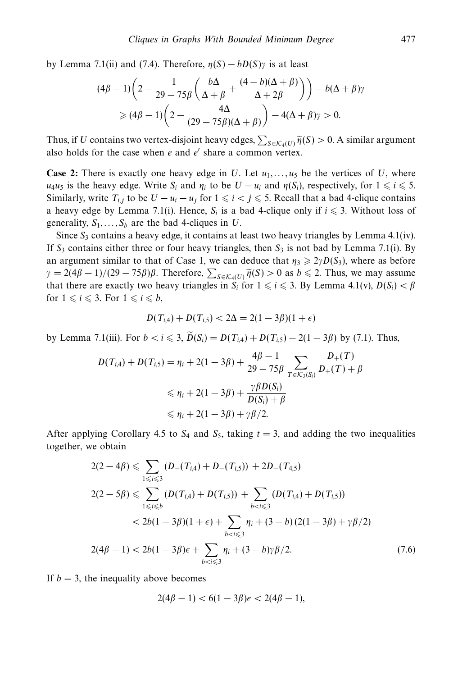by Lemma 7.1(ii) and (7.4). Therefore,  $\eta(S) - bD(S)\gamma$  is at least

$$
(4\beta - 1)\left(2 - \frac{1}{29 - 75\beta}\left(\frac{b\Delta}{\Delta + \beta} + \frac{(4 - b)(\Delta + \beta)}{\Delta + 2\beta}\right)\right) - b(\Delta + \beta)\gamma
$$
  
\$\geq (4\beta - 1)\left(2 - \frac{4\Delta}{(29 - 75\beta)(\Delta + \beta)}\right) - 4(\Delta + \beta)\gamma > 0.

Thus, if *U* contains two vertex-disjoint heavy edges,  $\sum_{S \in \mathcal{K}_4(U)} \widetilde{\eta}(S) > 0$ . A similar argument also holds for the case when *e* and *e'* share a common vertex.

**Case 2:** There is exactly one heavy edge in *U*. Let  $u_1, \ldots, u_5$  be the vertices of *U*, where  $u_4u_5$  is the heavy edge. Write  $S_i$  and  $\eta_i$  to be  $U - u_i$  and  $\eta(S_i)$ , respectively, for  $1 \leq i \leq 5$ . Similarly, write  $T_{i,j}$  to be  $U - u_i - u_j$  for  $1 \leq i < j \leq 5$ . Recall that a bad 4-clique contains a heavy edge by Lemma 7.1(i). Hence,  $S_i$  is a bad 4-clique only if  $i \leq 3$ . Without loss of generality,  $S_1, \ldots, S_b$  are the bad 4-cliques in *U*.

Since  $S_3$  contains a heavy edge, it contains at least two heavy triangles by Lemma 4.1(iv). If  $S_3$  contains either three or four heavy triangles, then  $S_3$  is not bad by Lemma 7.1(i). By an argument similar to that of Case 1, we can deduce that  $\eta_3 \geq 2\gamma D(S_3)$ , where as before  $\gamma = 2(4\beta - 1)/(29 - 75\beta)\beta$ . Therefore,  $\sum_{S \in \mathcal{K}_4(U)} \widetilde{\eta}(S) > 0$  as  $b \le 2$ . Thus, we may assume that there are exactly two heavy triangles in  $S_i$  for  $1 \leq i \leq 3$ . By Lemma 4.1(v),  $D(S_i) < \beta$ for  $1 \leq i \leq 3$ . For  $1 \leq i \leq b$ ,

$$
D(T_{i,4}) + D(T_{i,5}) < 2\Delta = 2(1 - 3\beta)(1 + \epsilon)
$$

by Lemma 7.1(iii). For  $b < i \leq 3$ ,  $D(S_i) = D(T_{i,4}) + D(T_{i,5}) - 2(1 - 3\beta)$  by (7.1). Thus,

$$
D(T_{i,4}) + D(T_{i,5}) = \eta_i + 2(1 - 3\beta) + \frac{4\beta - 1}{29 - 75\beta} \sum_{T \in \mathcal{K}_3(S_i)} \frac{D_+(T)}{D_+(T) + \beta}
$$
  
\$\leq \eta\_i + 2(1 - 3\beta) + \frac{\gamma \beta D(S\_i)}{D(S\_i) + \beta}\$  
\$\leq \eta\_i + 2(1 - 3\beta) + \gamma \beta/2\$.

After applying Corollary 4.5 to  $S_4$  and  $S_5$ , taking  $t = 3$ , and adding the two inequalities together, we obtain

$$
2(2-4\beta) \leq \sum_{1 \leq i \leq 3} (D_{-}(T_{i,4}) + D_{-}(T_{i,5})) + 2D_{-}(T_{4,5})
$$
  
\n
$$
2(2-5\beta) \leq \sum_{1 \leq i \leq b} (D(T_{i,4}) + D(T_{i,5})) + \sum_{b < i \leq 3} (D(T_{i,4}) + D(T_{i,5}))
$$
  
\n
$$
< 2b(1-3\beta)(1+\epsilon) + \sum_{b < i \leq 3} \eta_i + (3-b)(2(1-3\beta) + \gamma\beta/2)
$$
  
\n
$$
2(4\beta - 1) < 2b(1-3\beta)\epsilon + \sum_{b < i \leq 3} \eta_i + (3-b)\gamma\beta/2.
$$
 (7.6)

If  $b = 3$ , the inequality above becomes

$$
2(4\beta - 1) < 6(1 - 3\beta)\epsilon < 2(4\beta - 1),
$$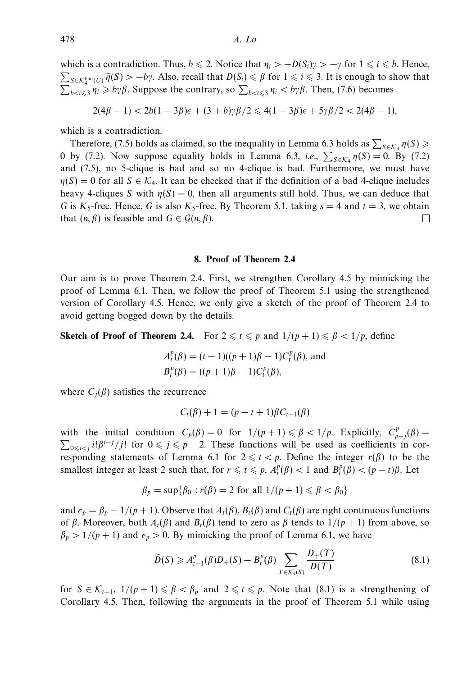which is a contradiction. Thus,  $b \le 2$ . Notice that  $\eta_i > -D(S_i)\gamma > -\gamma$  for  $1 \le i \le b$ . Hence,  $\sum_{S \in \mathcal{K}_4^{\text{bad}}(U)} \widetilde{\eta}(S) > -b\gamma$ . Also, recall that  $D(S_i) \leq \beta$  for  $1 \leq i \leq 3$ . It is enough to show that  $\sum_{b < i \le 3}$  *η<sub>i</sub>* ≥ *bγβ*. Suppose the contrary, so  $\sum_{b < i \le 3}$  *η<sub>i</sub>* < *bγβ*. Then, (7.6) becomes

$$
2(4\beta - 1) < 2b(1 - 3\beta)\epsilon + (3 + b)\gamma\beta/2 \leq 4(1 - 3\beta)\epsilon + 5\gamma\beta/2 < 2(4\beta - 1),
$$

which is a contradiction.

Therefore, (7.5) holds as claimed, so the inequality in Lemma 6.3 holds as  $\sum_{S \in \mathcal{K}_4} \eta(S) \ge$ 0 by (7.2). Now suppose equality holds in Lemma 6.3, i.e.,  $\sum_{S \in \mathcal{K}_4} \eta(S) = 0$ . By (7.2) and (7.5), no 5-clique is bad and so no 4-clique is bad. Furthermore, we must have  $\eta(S) = 0$  for all  $S \in \mathcal{K}_4$ . It can be checked that if the definition of a bad 4-clique includes heavy 4-cliques *S* with  $\eta(S) = 0$ , then all arguments still hold. Thus, we can deduce that *G* is  $K_5$ -free. Hence, *G* is also  $K_5$ -free. By Theorem 5.1, taking  $s = 4$  and  $t = 3$ , we obtain that  $(n, \beta)$  is feasible and  $G \in \mathcal{G}(n, \beta)$ .  $\Box$ 

## **8. Proof of Theorem 2.4**

Our aim is to prove Theorem 2.4. First, we strengthen Corollary 4.5 by mimicking the proof of Lemma 6.1. Then, we follow the proof of Theorem 5.1 using the strengthened version of Corollary 4.5. Hence, we only give a sketch of the proof of Theorem 2.4 to avoid getting bogged down by the details.

**Sketch of Proof of Theorem 2.4.** For  $2 \leq t \leq p$  and  $1/(p+1) \leq \beta < 1/p$ , define

$$
A_t^p(\beta) = (t - 1)((p + 1)\beta - 1)C_t^p(\beta), \text{ and}
$$
  

$$
B_t^p(\beta) = ((p + 1)\beta - 1)C_t^p(\beta),
$$

where  $C_i(\beta)$  satisfies the recurrence

$$
C_t(\beta) + 1 = (p - t + 1)\beta C_{t-1}(\beta)
$$

with the initial condition  $C_p(\beta) = 0$  for  $1/(p+1) \le \beta < 1/p$ . Explicitly,  $C_{p-j}^p(\beta) = 0$  $\sum_{0 \leq i \leq j} i! \beta^{i-j} / j!$  for  $0 \leq j \leq p-2$ . These functions will be used as coefficients in corresponding statements of Lemma 6.1 for  $2 \leq t < p$ . Define the integer  $r(\beta)$  to be the smallest integer at least 2 such that, for  $r \le t \le p$ ,  $A_t^p(\beta) < 1$  and  $B_t^p(\beta) < (p - t)\beta$ . Let

$$
\beta_p = \sup \{ \beta_0 : r(\beta) = 2 \text{ for all } 1/(p+1) \leq \beta < \beta_0 \}
$$

and  $\epsilon_p = \beta_p - 1/(p + 1)$ . Observe that  $A_t(\beta)$ ,  $B_t(\beta)$  and  $C_t(\beta)$  are right continuous functions of *β*. Moreover, both  $A_t(\beta)$  and  $B_t(\beta)$  tend to zero as  $\beta$  tends to  $1/(p+1)$  from above, so  $\beta_p$  > 1/(*p* + 1) and  $\epsilon_p$  > 0. By mimicking the proof of Lemma 6.1, we have

$$
\widetilde{D}(S) \geqslant A_{t+1}^p(\beta)D_+(S) - B_t^p(\beta) \sum_{T \in \mathcal{K}_t(S)} \frac{D_+(T)}{D(T)} \tag{8.1}
$$

for  $S \in \mathcal{K}_{t+1}$ ,  $1/(p+1) \leq \beta < \beta_p$  and  $2 \leq t \leq p$ . Note that (8.1) is a strengthening of Corollary 4.5. Then, following the arguments in the proof of Theorem 5.1 while using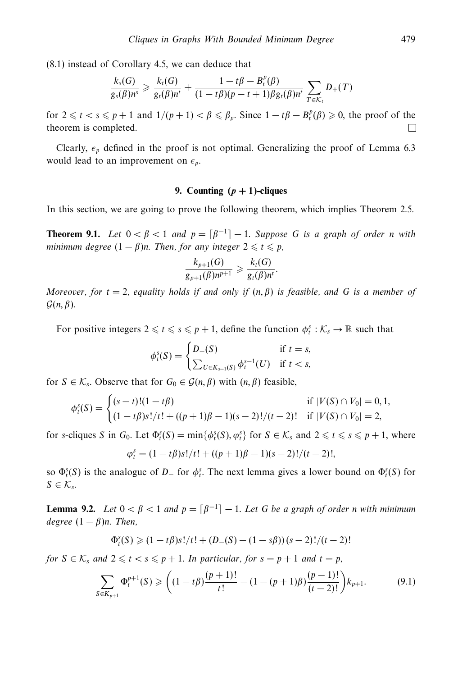(8.1) instead of Corollary 4.5, we can deduce that

$$
\frac{k_s(G)}{g_s(\beta)n^s} \geqslant \frac{k_t(G)}{g_t(\beta)n^t} + \frac{1-t\beta - B_t^p(\beta)}{(1-t\beta)(p-t+1)\beta g_t(\beta)n^t} \sum_{T \in \mathcal{K}_t} D_+(T)
$$

for  $2 \le t < s \le p + 1$  and  $1/(p + 1) < \beta \le \beta_p$ . Since  $1 - t\beta - B_t^p(\beta) \ge 0$ , the proof of the theorem is completed.  $\Box$ 

Clearly,  $\epsilon_p$  defined in the proof is not optimal. Generalizing the proof of Lemma 6.3 would lead to an improvement on  $\epsilon_p$ .

## **9.** Counting  $(p + 1)$ -cliques

In this section, we are going to prove the following theorem, which implies Theorem 2.5.

**Theorem 9.1.** Let  $0 < \beta < 1$  and  $p = \lceil \beta^{-1} \rceil - 1$ . Suppose G is a graph of order *n* with minimum degree  $(1 - \beta)n$ . Then, for any integer  $2 \leqslant t \leqslant p$ ,

$$
\frac{k_{p+1}(G)}{g_{p+1}(\beta)n^{p+1}} \geqslant \frac{k_t(G)}{g_t(\beta)n^t}.
$$

Moreover, for  $t = 2$ , equality holds if and only if  $(n, \beta)$  is feasible, and *G* is a member of G(*n, β*).

For positive integers  $2 \le t \le s \le p + 1$ , define the function  $\phi_t^s : \mathcal{K}_s \to \mathbb{R}$  such that

$$
\phi_t^s(S) = \begin{cases} D_-(S) & \text{if } t = s, \\ \sum_{U \in K_{s-1}(S)} \phi_t^{s-1}(U) & \text{if } t < s, \end{cases}
$$

for  $S \in \mathcal{K}_s$ . Observe that for  $G_0 \in \mathcal{G}(n, \beta)$  with  $(n, \beta)$  feasible,

$$
\phi_t^s(S) = \begin{cases}\n(s-t)!(1-t\beta) & \text{if } |V(S) \cap V_0| = 0, 1, \\
(1-t\beta)s!/t! + ((p+1)\beta - 1)(s-2)!/(t-2)! & \text{if } |V(S) \cap V_0| = 2,\n\end{cases}
$$

for *s*-cliques *S* in  $G_0$ . Let  $\Phi_t^s(S) = \min\{\phi_t^s(S), \phi_t^s\}$  for  $S \in \mathcal{K}_s$  and  $2 \leq t \leq s \leq p+1$ , where

$$
\varphi_t^s = (1 - t\beta)s!/t! + ((p+1)\beta - 1)(s-2)!/(t-2)!,
$$

so  $\Phi_t^s(S)$  is the analogue of *D*− for  $\phi_t^s$ . The next lemma gives a lower bound on  $\Phi_t^s(S)$  for  $S \in \mathcal{K}_s$ .

**Lemma 9.2.** Let  $0 < \beta < 1$  and  $p = \lceil \beta^{-1} \rceil - 1$ . Let G be a graph of order *n* with minimum degree  $(1 - \beta)n$ . Then,

$$
\Phi_t^s(S) \geq (1 - t\beta)s!/t! + (D_-(S) - (1 - s\beta))(s - 2)!/(t - 2)!
$$

for  $S \in \mathcal{K}_s$  and  $2 \leq t < s \leq p+1$ . In particular, for  $s = p+1$  and  $t = p$ ,

$$
\sum_{S \in K_{p+1}} \Phi_t^{p+1}(S) \ge \left( (1 - t\beta) \frac{(p+1)!}{t!} - (1 - (p+1)\beta) \frac{(p-1)!}{(t-2)!} \right) k_{p+1}.
$$
 (9.1)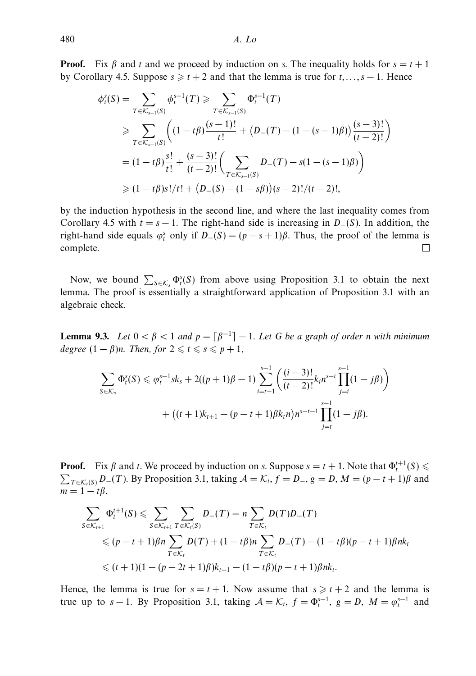**Proof.** Fix  $\beta$  and  $t$  and we proceed by induction on *s*. The inequality holds for  $s = t + 1$ by Corollary 4.5. Suppose  $s \geq t + 2$  and that the lemma is true for  $t, \ldots, s - 1$ . Hence

$$
\phi_t^s(S) = \sum_{T \in \mathcal{K}_{s-1}(S)} \phi_t^{s-1}(T) \ge \sum_{T \in \mathcal{K}_{s-1}(S)} \Phi_t^{s-1}(T)
$$
  
\n
$$
\ge \sum_{T \in \mathcal{K}_{s-1}(S)} \left( (1 - t\beta) \frac{(s-1)!}{t!} + (D_-(T) - (1 - (s-1)\beta)) \frac{(s-3)!}{(t-2)!} \right)
$$
  
\n
$$
= (1 - t\beta) \frac{s!}{t!} + \frac{(s-3)!}{(t-2)!} \left( \sum_{T \in \mathcal{K}_{s-1}(S)} D_-(T) - s(1 - (s-1)\beta) \right)
$$
  
\n
$$
\ge (1 - t\beta)s!/t! + (D_-(S) - (1 - s\beta))(s-2)!/(t-2)!,
$$

by the induction hypothesis in the second line, and where the last inequality comes from Corollary 4.5 with  $t = s - 1$ . The right-hand side is increasing in  $D_-(S)$ . In addition, the right-hand side equals  $\varphi_t^s$  only if  $D_-(S) = (p - s + 1)\beta$ . Thus, the proof of the lemma is complete.  $\Box$ 

Now, we bound  $\sum_{S \in \mathcal{K}_s} \Phi_i^s(S)$  from above using Proposition 3.1 to obtain the next lemma. The proof is essentially a straightforward application of Proposition 3.1 with an algebraic check.

**Lemma 9.3.** Let  $0 < \beta < 1$  and  $p = \lceil \beta^{-1} \rceil - 1$ . Let G be a graph of order *n* with minimum  $degree (1 - \beta)n$ . Then, for  $2 \leqslant t \leqslant s \leqslant p + 1$ ,

$$
\sum_{S \in \mathcal{K}_s} \Phi_t^s(S) \leq \varphi_t^{s-1} s k_s + 2((p+1)\beta - 1) \sum_{i=t+1}^{s-1} \left( \frac{(i-3)!}{(t-2)!} k_i n^{s-i} \prod_{j=i}^{s-1} (1 - j\beta) \right) + ((t+1)k_{t+1} - (p-t+1)\beta k_t n) n^{s-t-1} \prod_{j=t}^{s-1} (1 - j\beta).
$$

**Proof.** Fix  $\beta$  and *t*. We proceed by induction on *s*. Suppose  $s = t + 1$ . Note that  $\Phi_t^{t+1}(S) \leq$  $\sum_{T \in \mathcal{K}_t(S)} D_-(T)$ . By Proposition 3.1, taking  $\mathcal{A} = \mathcal{K}_t$ ,  $f = D_-, g = D$ ,  $M = (p - t + 1)\beta$  and  $m = 1 - t\beta$ ,

$$
\sum_{S \in \mathcal{K}_{t+1}} \Phi_t^{t+1}(S) \leq \sum_{S \in \mathcal{K}_{t+1}} \sum_{T \in \mathcal{K}_t(S)} D_{-}(T) = n \sum_{T \in \mathcal{K}_t} D(T)D_{-}(T)
$$
\n
$$
\leq (p - t + 1)\beta n \sum_{T \in \mathcal{K}_t} D(T) + (1 - t\beta)n \sum_{T \in \mathcal{K}_t} D_{-}(T) - (1 - t\beta)(p - t + 1)\beta nk_t
$$
\n
$$
\leq (t + 1)(1 - (p - 2t + 1)\beta)k_{t+1} - (1 - t\beta)(p - t + 1)\beta nk_t.
$$

Hence, the lemma is true for  $s = t + 1$ . Now assume that  $s \geq t + 2$  and the lemma is true up to  $s - 1$ . By Proposition 3.1, taking  $A = \mathcal{K}_t$ ,  $f = \Phi_t^{s-1}$ ,  $g = D$ ,  $M = \varphi_t^{s-1}$  and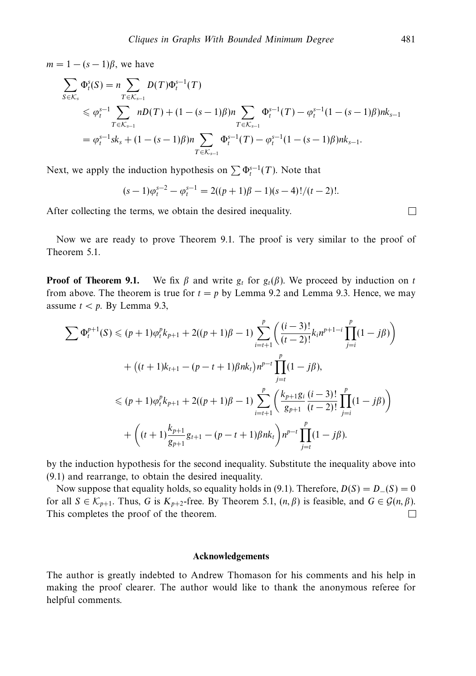$m = 1 - (s - 1)\beta$ , we have

$$
\sum_{S \in \mathcal{K}_s} \Phi_t^s(S) = n \sum_{T \in \mathcal{K}_{s-1}} D(T) \Phi_t^{s-1}(T)
$$
\n
$$
\leq \varphi_t^{s-1} \sum_{T \in \mathcal{K}_{s-1}} n D(T) + (1 - (s - 1)\beta) n \sum_{T \in \mathcal{K}_{s-1}} \Phi_t^{s-1}(T) - \varphi_t^{s-1}(1 - (s - 1)\beta) nk_{s-1}
$$
\n
$$
= \varphi_t^{s-1} s k_s + (1 - (s - 1)\beta) n \sum_{T \in \mathcal{K}_{s-1}} \Phi_t^{s-1}(T) - \varphi_t^{s-1}(1 - (s - 1)\beta) nk_{s-1}.
$$

Next, we apply the induction hypothesis on  $\sum \Phi_i^{s-1}(T)$ . Note that

$$
(s-1)\varphi_t^{s-2} - \varphi_t^{s-1} = 2((p+1)\beta - 1)(s-4)!/(t-2)!.
$$

After collecting the terms, we obtain the desired inequality.

Now we are ready to prove Theorem 9.1. The proof is very similar to the proof of Theorem 5.1.

**Proof of Theorem 9.1.** We fix  $\beta$  and write  $g_t$  for  $g_t(\beta)$ . We proceed by induction on *t* from above. The theorem is true for  $t = p$  by Lemma 9.2 and Lemma 9.3. Hence, we may assume  $t < p$ . By Lemma 9.3,

$$
\sum \Phi_t^{p+1}(S) \le (p+1)\varphi_t^p k_{p+1} + 2((p+1)\beta - 1) \sum_{i=t+1}^p \left( \frac{(i-3)!}{(t-2)!} k_i n^{p+1-i} \prod_{j=i}^p (1-j\beta) \right)
$$
  
+ 
$$
\left( (t+1)k_{t+1} - (p-t+1)\beta n k_t \right) n^{p-t} \prod_{j=t}^p (1-j\beta),
$$
  

$$
\le (p+1)\varphi_t^p k_{p+1} + 2((p+1)\beta - 1) \sum_{i=t+1}^p \left( \frac{k_{p+1}g_i}{g_{p+1}} \frac{(i-3)!}{(t-2)!} \prod_{j=i}^p (1-j\beta) \right)
$$
  
+ 
$$
\left( (t+1)\frac{k_{p+1}}{g_{p+1}} g_{t+1} - (p-t+1)\beta n k_t \right) n^{p-t} \prod_{j=t}^p (1-j\beta).
$$

by the induction hypothesis for the second inequality. Substitute the inequality above into (9.1) and rearrange, to obtain the desired inequality.

Now suppose that equality holds, so equality holds in (9.1). Therefore,  $D(S) = D(S) = 0$ for all  $S \in \mathcal{K}_{p+1}$ . Thus, *G* is  $K_{p+2}$ -free. By Theorem 5.1,  $(n, \beta)$  is feasible, and  $G \in \mathcal{G}(n, \beta)$ .<br>This completes the proof of the theorem. This completes the proof of the theorem.

## **Acknowledgements**

The author is greatly indebted to Andrew Thomason for his comments and his help in making the proof clearer. The author would like to thank the anonymous referee for helpful comments.

 $\Box$